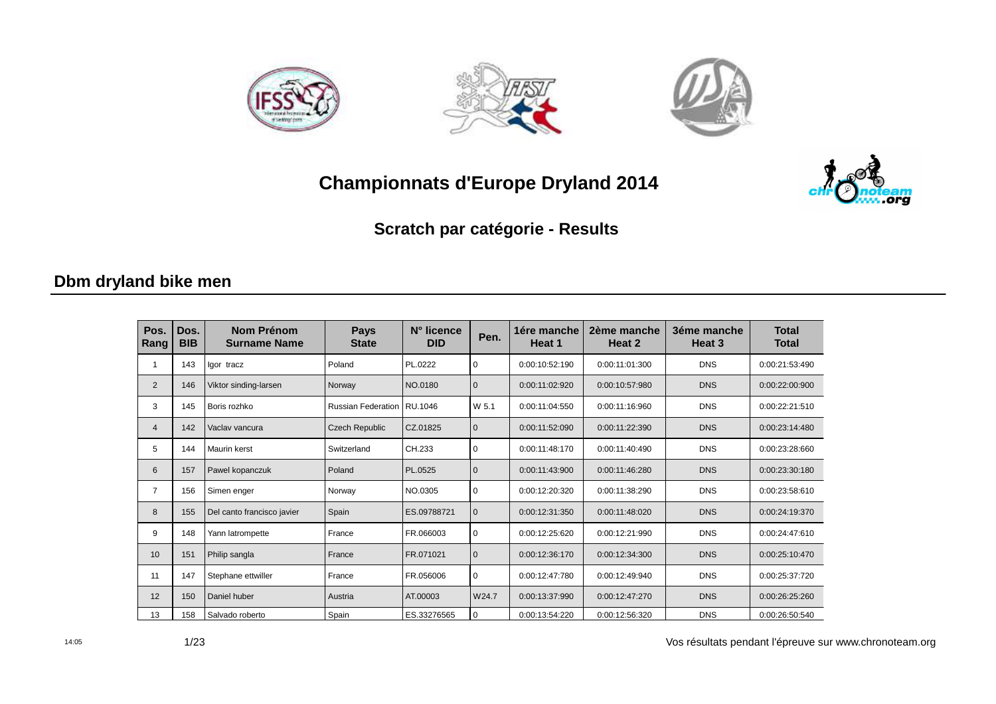







Scratch par catégorie - Results

#### Dbm dryland bike men

| Pos.<br>Rang   | Dos.<br><b>BIB</b> | <b>Nom Prénom</b><br><b>Surname Name</b> | <b>Pays</b><br><b>State</b> | N° licence<br><b>DID</b> | Pen.         | 1ére manche<br>Heat 1 | 2ème manche<br>Heat 2 | 3éme manche<br>Heat 3 | <b>Total</b><br><b>Total</b> |
|----------------|--------------------|------------------------------------------|-----------------------------|--------------------------|--------------|-----------------------|-----------------------|-----------------------|------------------------------|
|                | 143                | Igor tracz                               | Poland                      | PL.0222                  | $\mathbf 0$  | 0:00:10:52:190        | 0:00:11:01:300        | <b>DNS</b>            | 0:00:21:53:490               |
| 2              | 146                | Viktor sinding-larsen                    | Norway                      | NO.0180                  | $\mathbf{0}$ | 0:00:11:02:920        | 0:00:10:57:980        | <b>DNS</b>            | 0:00:22:00:900               |
| 3              | 145                | Boris rozhko                             | <b>Russian Federation</b>   | RU.1046                  | W 5.1        | 0:00:11:04:550        | 0:00:11:16:960        | <b>DNS</b>            | 0:00:22:21:510               |
| $\overline{4}$ | 142                | Vaclav vancura                           | Czech Republic              | CZ.01825                 | $\mathbf{0}$ | 0:00:11:52:090        | 0:00:11:22:390        | <b>DNS</b>            | 0:00:23:14:480               |
| 5              | 144                | Maurin kerst                             | Switzerland                 | CH.233                   | $\mathbf 0$  | 0:00:11:48:170        | 0:00:11:40:490        | <b>DNS</b>            | 0:00:23:28:660               |
| 6              | 157                | Pawel kopanczuk                          | Poland                      | PL.0525                  | $\mathbf{0}$ | 0:00:11:43:900        | 0:00:11:46:280        | <b>DNS</b>            | 0:00:23:30:180               |
| 7              | 156                | Simen enger                              | Norway                      | NO.0305                  | $\mathbf 0$  | 0:00:12:20:320        | 0:00:11:38:290        | <b>DNS</b>            | 0:00:23:58:610               |
| 8              | 155                | Del canto francisco javier               | Spain                       | ES.09788721              | $\mathbf{0}$ | 0:00:12:31:350        | 0:00:11:48:020        | <b>DNS</b>            | 0:00:24:19:370               |
| 9              | 148                | Yann latrompette                         | France                      | FR.066003                | 0            | 0:00:12:25:620        | 0:00:12:21:990        | <b>DNS</b>            | 0:00:24:47:610               |
| 10             | 151                | Philip sangla                            | France                      | FR.071021                | $\mathbf{0}$ | 0:00:12:36:170        | 0:00:12:34:300        | <b>DNS</b>            | 0:00:25:10:470               |
| 11             | 147                | Stephane ettwiller                       | France                      | FR.056006                | $\mathbf 0$  | 0:00:12:47:780        | 0:00:12:49:940        | <b>DNS</b>            | 0:00:25:37:720               |
| 12             | 150                | Daniel huber                             | Austria                     | AT.00003                 | W24.7        | 0:00:13:37:990        | 0:00:12:47:270        | <b>DNS</b>            | 0:00:26:25:260               |
| 13             | 158                | Salvado roberto                          | Spain                       | ES.33276565              | 0            | 0:00:13:54:220        | 0:00:12:56:320        | <b>DNS</b>            | 0:00:26:50:540               |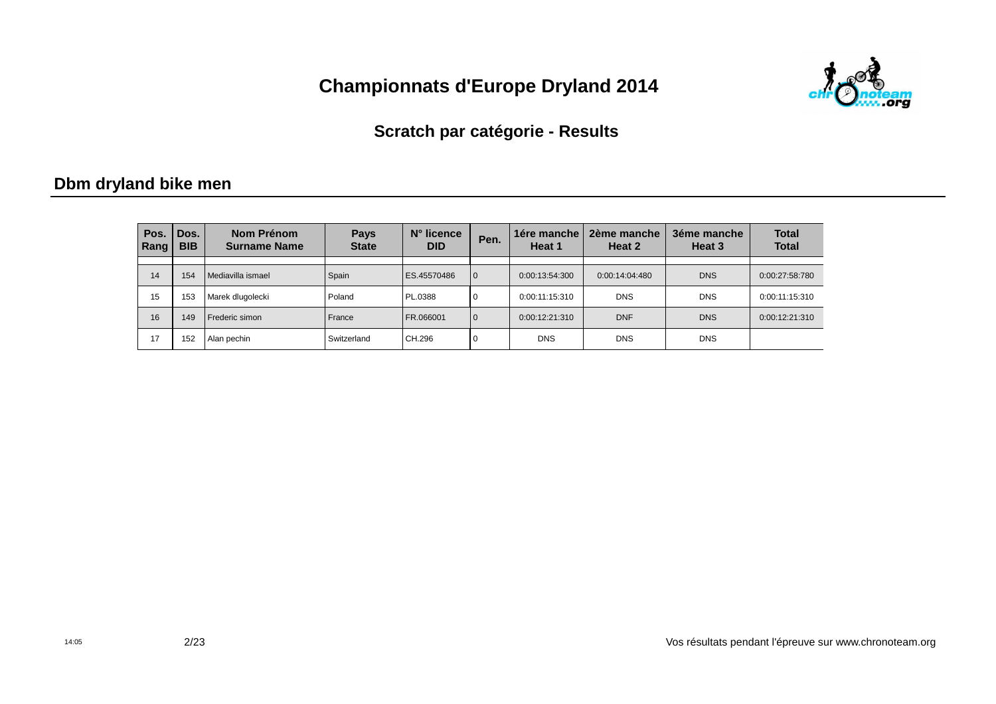

#### **Scratch par catégorie - Results**

#### **Dbm dryland bike men**

| Pos.<br>Rang | Dos.<br><b>BIB</b> | Nom Prénom<br><b>Surname Name</b> | <b>Pays</b><br><b>State</b> | $N^{\circ}$ licence<br><b>DID</b> | Pen.         | 1ére manche<br>Heat 1 | 2ème manche<br>Heat 2 | 3éme manche<br>Heat 3 | <b>Total</b><br><b>Total</b> |
|--------------|--------------------|-----------------------------------|-----------------------------|-----------------------------------|--------------|-----------------------|-----------------------|-----------------------|------------------------------|
|              |                    |                                   |                             |                                   |              |                       |                       |                       |                              |
| 14           | 154                | Mediavilla ismael                 | Spain                       | ES.45570486                       | $\mathbf{0}$ | 0:00:13:54:300        | 0:00:14:04:480        | <b>DNS</b>            | 0:00:27:58:780               |
| 15           | 153                | Marek dlugolecki                  | Poland                      | PL.0388                           | $\mathbf 0$  | 0:00:11:15:310        | <b>DNS</b>            | <b>DNS</b>            | 0:00:11:15:310               |
| 16           | 149                | Frederic simon                    | France                      | FR.066001                         | $\mathbf{0}$ | 0:00:12:21:310        | <b>DNF</b>            | <b>DNS</b>            | 0:00:12:21:310               |
| 17           | 152                | Alan pechin                       | Switzerland                 | CH.296                            | $\mathbf 0$  | <b>DNS</b>            | <b>DNS</b>            | <b>DNS</b>            |                              |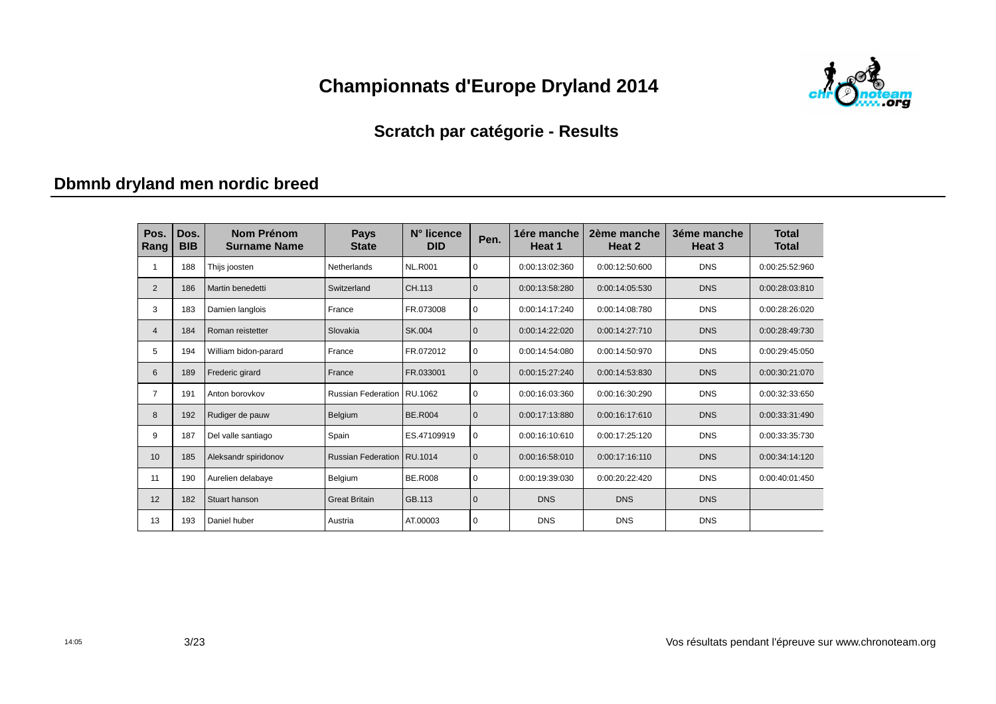

#### **Scratch par catégorie - Results**

# **Dbmnb dryland men nordic breed**

| Pos.<br>Rang   | Dos.<br><b>BIB</b> | Nom Prénom<br><b>Surname Name</b> | <b>Pays</b><br><b>State</b>  | N° licence<br><b>DID</b> | Pen.         | 1ére manche<br>Heat 1 | 2ème manche<br>Heat 2 | 3éme manche<br>Heat 3 | <b>Total</b><br><b>Total</b> |
|----------------|--------------------|-----------------------------------|------------------------------|--------------------------|--------------|-----------------------|-----------------------|-----------------------|------------------------------|
|                | 188                | Thijs joosten                     | Netherlands                  | <b>NL.R001</b>           | $\mathbf 0$  | 0:00:13:02:360        | 0:00:12:50:600        | <b>DNS</b>            | 0:00:25:52:960               |
| $\overline{2}$ | 186                | Martin benedetti                  | Switzerland                  | CH.113                   | $\mathbf{0}$ | 0:00:13:58:280        | 0:00:14:05:530        | <b>DNS</b>            | 0:00:28:03:810               |
| 3              | 183                | Damien langlois                   | France                       | FR.073008                | 0            | 0:00:14:17:240        | 0:00:14:08:780        | <b>DNS</b>            | 0:00:28:26:020               |
| $\overline{4}$ | 184                | Roman reistetter                  | Slovakia                     | SK.004                   | $\mathbf 0$  | 0:00:14:22:020        | 0:00:14:27:710        | <b>DNS</b>            | 0:00:28:49:730               |
| 5              | 194                | William bidon-parard              | France                       | FR.072012                | $\mathbf 0$  | 0:00:14:54:080        | 0:00:14:50:970        | <b>DNS</b>            | 0:00:29:45:050               |
| 6              | 189                | Frederic girard                   | France                       | FR.033001                | $\mathbf{0}$ | 0:00:15:27:240        | 0:00:14:53:830        | <b>DNS</b>            | 0:00:30:21:070               |
| 7              | 191                | Anton borovkov                    | <b>Russian Federation</b>    | RU.1062                  | $\mathbf 0$  | 0:00:16:03:360        | 0:00:16:30:290        | <b>DNS</b>            | 0:00:32:33:650               |
| 8              | 192                | Rudiger de pauw                   | Belgium                      | <b>BE.R004</b>           | $\mathbf{0}$ | 0:00:17:13:880        | 0:00:16:17:610        | <b>DNS</b>            | 0:00:33:31:490               |
| 9              | 187                | Del valle santiago                | Spain                        | ES.47109919              | $\mathbf 0$  | 0:00:16:10:610        | 0:00:17:25:120        | <b>DNS</b>            | 0:00:33:35:730               |
| 10             | 185                | Aleksandr spiridonov              | Russian Federation   RU.1014 |                          | $\mathbf{0}$ | 0:00:16:58:010        | 0:00:17:16:110        | <b>DNS</b>            | 0:00:34:14:120               |
| 11             | 190                | Aurelien delabaye                 | Belgium                      | <b>BE.R008</b>           | $\mathbf 0$  | 0:00:19:39:030        | 0:00:20:22:420        | <b>DNS</b>            | 0:00:40:01:450               |
| 12             | 182                | Stuart hanson                     | <b>Great Britain</b>         | GB.113                   | $\mathbf 0$  | <b>DNS</b>            | <b>DNS</b>            | <b>DNS</b>            |                              |
| 13             | 193                | Daniel huber                      | Austria                      | AT.00003                 | 0            | <b>DNS</b>            | <b>DNS</b>            | <b>DNS</b>            |                              |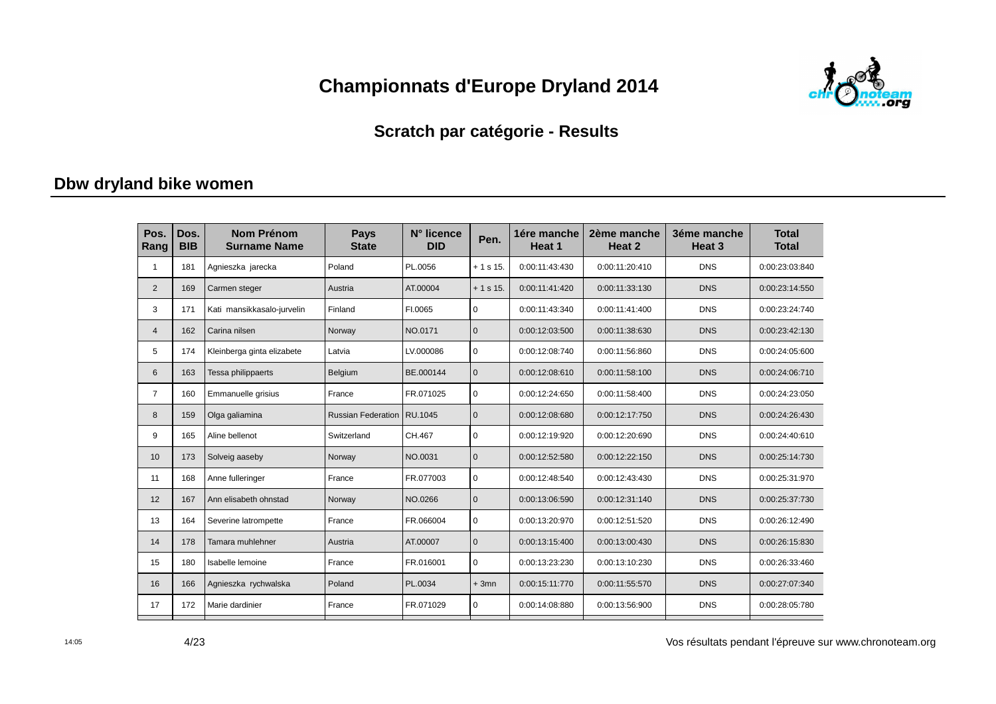

#### **Scratch par catégorie - Results**

#### **Dbw dryland bike women**

| Pos.<br>Rang   | Dos.<br><b>BIB</b> | <b>Nom Prénom</b><br><b>Surname Name</b> | <b>Pays</b><br><b>State</b> | N° licence<br><b>DID</b> | Pen.         | 1ére manche<br>Heat 1 | 2ème manche<br>Heat 2 | 3éme manche<br>Heat <sub>3</sub> | <b>Total</b><br><b>Total</b> |
|----------------|--------------------|------------------------------------------|-----------------------------|--------------------------|--------------|-----------------------|-----------------------|----------------------------------|------------------------------|
|                | 181                | Agnieszka jarecka                        | Poland                      | PL.0056                  | $+1$ s 15.   | 0:00:11:43:430        | 0:00:11:20:410        | <b>DNS</b>                       | 0:00:23:03:840               |
| $\overline{2}$ | 169                | Carmen steger                            | Austria                     | AT.00004                 | $+1$ s 15.   | 0:00:11:41:420        | 0:00:11:33:130        | <b>DNS</b>                       | 0:00:23:14:550               |
| 3              | 171                | Kati mansikkasalo-jurvelin               | Finland                     | FI.0065                  | $\mathbf 0$  | 0:00:11:43:340        | 0:00:11:41:400        | <b>DNS</b>                       | 0:00:23:24:740               |
| $\overline{4}$ | 162                | Carina nilsen                            | Norway                      | NO.0171                  | $\mathbf{0}$ | 0:00:12:03:500        | 0:00:11:38:630        | <b>DNS</b>                       | 0:00:23:42:130               |
| 5              | 174                | Kleinberga ginta elizabete               | Latvia                      | LV.000086                | 0            | 0:00:12:08:740        | 0:00:11:56:860        | <b>DNS</b>                       | 0:00:24:05:600               |
| 6              | 163                | Tessa philippaerts                       | Belgium                     | BE.000144                | $\mathbf{0}$ | 0:00:12:08:610        | 0:00:11:58:100        | <b>DNS</b>                       | 0:00:24:06:710               |
| $\overline{7}$ | 160                | Emmanuelle grisius                       | France                      | FR.071025                | $\mathbf 0$  | 0:00:12:24:650        | 0:00:11:58:400        | <b>DNS</b>                       | 0:00:24:23:050               |
| 8              | 159                | Olga galiamina                           | <b>Russian Federation</b>   | RU.1045                  | $\Omega$     | 0:00:12:08:680        | 0:00:12:17:750        | <b>DNS</b>                       | 0:00:24:26:430               |
| 9              | 165                | Aline bellenot                           | Switzerland                 | CH.467                   | $\mathbf 0$  | 0:00:12:19:920        | 0:00:12:20:690        | <b>DNS</b>                       | 0:00:24:40:610               |
| 10             | 173                | Solveig aaseby                           | Norway                      | NO.0031                  | $\mathbf{0}$ | 0:00:12:52:580        | 0:00:12:22:150        | <b>DNS</b>                       | 0:00:25:14:730               |
| 11             | 168                | Anne fulleringer                         | France                      | FR.077003                | $\mathbf 0$  | 0:00:12:48:540        | 0:00:12:43:430        | <b>DNS</b>                       | 0:00:25:31:970               |
| 12             | 167                | Ann elisabeth ohnstad                    | Norway                      | NO.0266                  | $\mathbf{0}$ | 0:00:13:06:590        | 0:00:12:31:140        | <b>DNS</b>                       | 0:00:25:37:730               |
| 13             | 164                | Severine latrompette                     | France                      | FR.066004                | $\mathbf 0$  | 0:00:13:20:970        | 0:00:12:51:520        | <b>DNS</b>                       | 0:00:26:12:490               |
| 14             | 178                | Tamara muhlehner                         | Austria                     | AT.00007                 | $\mathbf{0}$ | 0:00:13:15:400        | 0:00:13:00:430        | <b>DNS</b>                       | 0:00:26:15:830               |
| 15             | 180                | Isabelle lemoine                         | France                      | FR.016001                | $\mathbf 0$  | 0:00:13:23:230        | 0:00:13:10:230        | <b>DNS</b>                       | 0:00:26:33:460               |
| 16             | 166                | Agnieszka rychwalska                     | Poland                      | PL.0034                  | $+3mn$       | 0:00:15:11:770        | 0:00:11:55:570        | <b>DNS</b>                       | 0:00:27:07:340               |
| 17             | 172                | Marie dardinier                          | France                      | FR.071029                | 0            | 0:00:14:08:880        | 0:00:13:56:900        | <b>DNS</b>                       | 0:00:28:05:780               |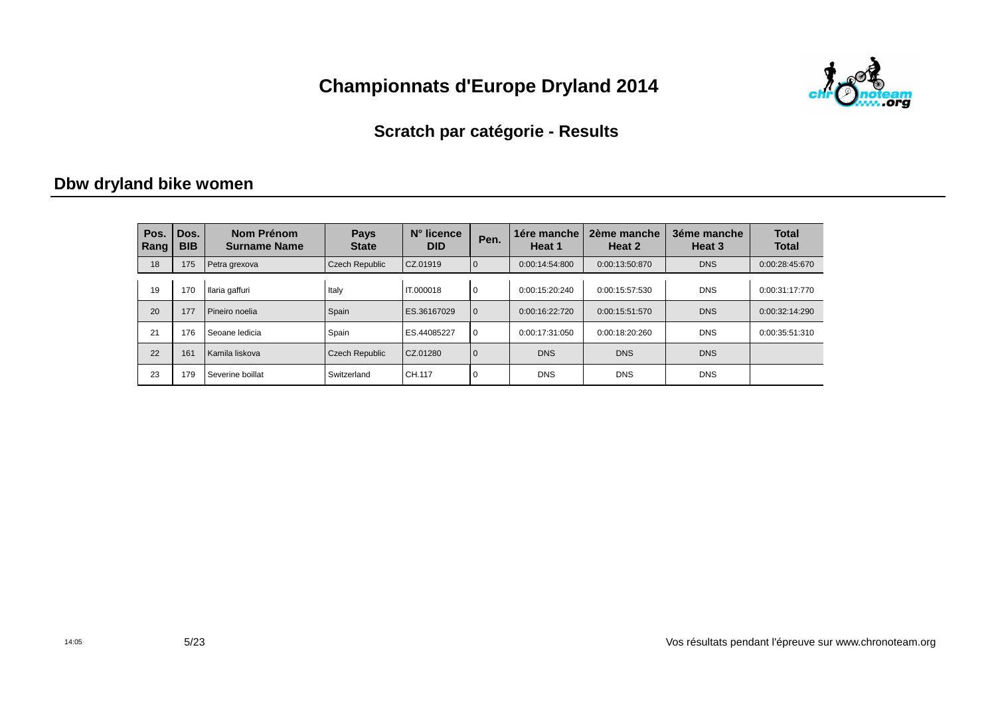

#### **Scratch par catégorie - Results**

#### **Dbw dryland bike women**

| Pos.<br>Rang | Dos.<br><b>BIB</b> | Nom Prénom<br><b>Surname Name</b> | <b>Pays</b><br><b>State</b> | N° licence<br><b>DID</b> | Pen.         | 1ére manche<br>Heat 1 | 2ème manche<br>Heat 2 | 3éme manche<br>Heat 3 | <b>Total</b><br><b>Total</b> |
|--------------|--------------------|-----------------------------------|-----------------------------|--------------------------|--------------|-----------------------|-----------------------|-----------------------|------------------------------|
| 18           | 175                | Petra grexova                     | <b>Czech Republic</b>       | CZ.01919                 | $\mathbf{0}$ | 0:00:14:54:800        | 0:00:13:50:870        | <b>DNS</b>            | 0:00:28:45:670               |
| 19           | 170                | Ilaria gaffuri                    | Italy                       | IT.000018                | $\mathbf 0$  | 0:00:15:20:240        | 0:00:15:57:530        | <b>DNS</b>            | 0:00:31:17:770               |
| 20           | 177                | Pineiro noelia                    | Spain                       | ES.36167029              | $\mathbf{0}$ | 0:00:16:22:720        | 0:00:15:51:570        | <b>DNS</b>            | 0:00:32:14:290               |
| 21           | 176                | Seoane ledicia                    | Spain                       | ES.44085227              | $\Omega$     | 0:00:17:31:050        | 0:00:18:20:260        | <b>DNS</b>            | 0:00:35:51:310               |
| 22           | 161                | Kamila liskova                    | Czech Republic              | CZ.01280                 | $\mathbf{0}$ | <b>DNS</b>            | <b>DNS</b>            | <b>DNS</b>            |                              |
| 23           | 179                | Severine boillat                  | Switzerland                 | CH.117                   | $\mathbf 0$  | <b>DNS</b>            | <b>DNS</b>            | <b>DNS</b>            |                              |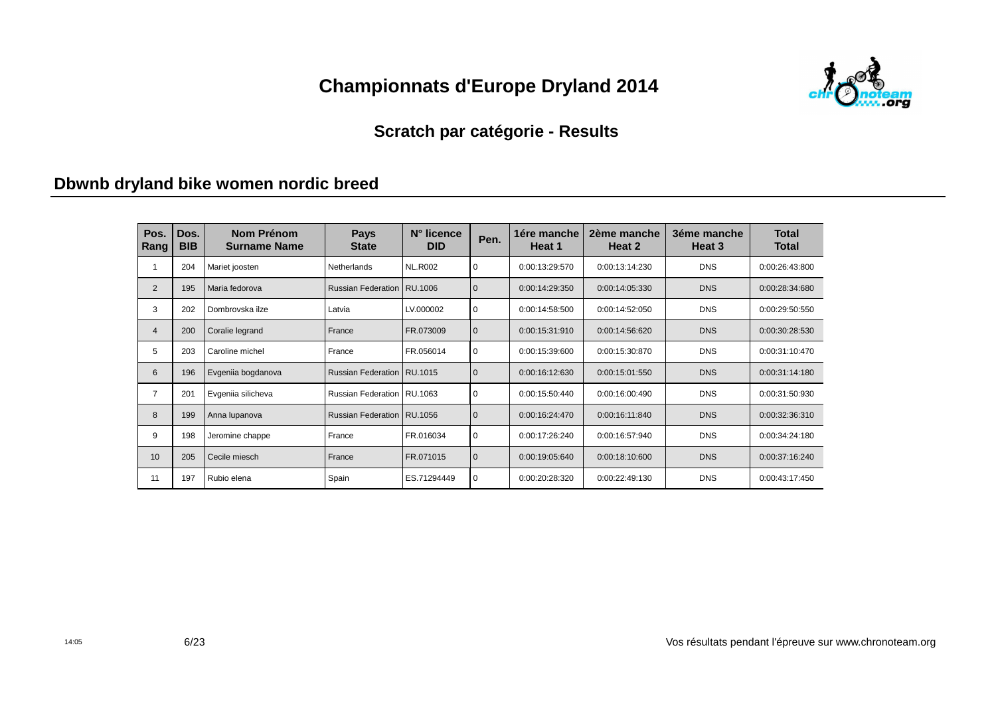

#### **Scratch par catégorie - Results**

#### **Dbwnb dryland bike women nordic breed**

| Pos.<br>Rang   | Dos.<br><b>BIB</b> | Nom Prénom<br><b>Surname Name</b> | <b>Pays</b><br><b>State</b>  | N° licence<br><b>DID</b> | Pen.         | 1ére manche<br>Heat 1 | 2ème manche<br>Heat 2 | 3éme manche<br>Heat 3 | <b>Total</b><br><b>Total</b> |
|----------------|--------------------|-----------------------------------|------------------------------|--------------------------|--------------|-----------------------|-----------------------|-----------------------|------------------------------|
|                | 204                | Mariet joosten                    | <b>Netherlands</b>           | <b>NL.R002</b>           | 0            | 0:00:13:29:570        | 0:00:13:14:230        | <b>DNS</b>            | 0:00:26:43:800               |
| $\overline{2}$ | 195                | Maria fedorova                    | Russian Federation   RU.1006 |                          | $\Omega$     | 0:00:14:29:350        | 0:00:14:05:330        | <b>DNS</b>            | 0:00:28:34:680               |
| 3              | 202                | Dombrovska ilze                   | Latvia                       | LV.000002                | $\mathbf 0$  | 0:00:14:58:500        | 0:00:14:52:050        | <b>DNS</b>            | 0:00:29:50:550               |
| 4              | 200                | Coralie legrand                   | France                       | FR.073009                | $\Omega$     | 0:00:15:31:910        | 0:00:14:56:620        | <b>DNS</b>            | 0:00:30:28:530               |
| 5              | 203                | Caroline michel                   | France                       | FR.056014                | $\mathbf 0$  | 0:00:15:39:600        | 0:00:15:30:870        | <b>DNS</b>            | 0:00:31:10:470               |
| 6              | 196                | Evgeniia bogdanova                | Russian Federation   RU.1015 |                          | $\mathbf{0}$ | 0:00:16:12:630        | 0:00:15:01:550        | <b>DNS</b>            | 0:00:31:14:180               |
| 7              | 201                | Evgeniia silicheva                | Russian Federation   RU.1063 |                          | $\mathbf 0$  | 0:00:15:50:440        | 0:00:16:00:490        | <b>DNS</b>            | 0:00:31:50:930               |
| 8              | 199                | Anna lupanova                     | Russian Federation   RU.1056 |                          | $\mathbf{0}$ | 0:00:16:24:470        | 0:00:16:11:840        | <b>DNS</b>            | 0:00:32:36:310               |
| 9              | 198                | Jeromine chappe                   | France                       | FR.016034                | $\mathbf 0$  | 0:00:17:26:240        | 0:00:16:57:940        | <b>DNS</b>            | 0:00:34:24:180               |
| 10             | 205                | Cecile miesch                     | France                       | FR.071015                | $\mathbf{0}$ | 0:00:19:05:640        | 0:00:18:10:600        | <b>DNS</b>            | 0:00:37:16:240               |
| 11             | 197                | Rubio elena                       | Spain                        | ES.71294449              | $\mathbf 0$  | 0:00:20:28:320        | 0:00:22:49:130        | <b>DNS</b>            | 0:00:43:17:450               |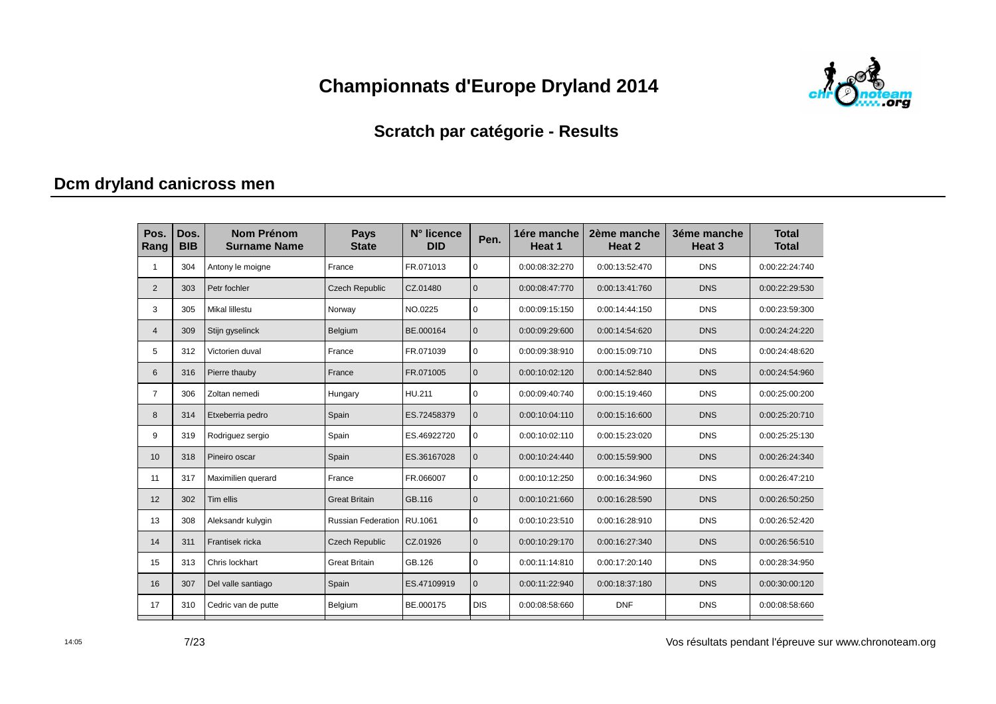

#### **Scratch par catégorie - Results**

### **Dcm dryland canicross men**

| Pos.<br>Rang   | Dos.<br><b>BIB</b> | <b>Nom Prénom</b><br><b>Surname Name</b> | <b>Pays</b><br><b>State</b> | N° licence<br><b>DID</b> | Pen.         | 1ére manche<br>Heat 1 | 2ème manche<br>Heat 2 | 3éme manche<br>Heat <sub>3</sub> | <b>Total</b><br><b>Total</b> |
|----------------|--------------------|------------------------------------------|-----------------------------|--------------------------|--------------|-----------------------|-----------------------|----------------------------------|------------------------------|
| 1              | 304                | Antony le moigne                         | France                      | FR.071013                | $\mathbf 0$  | 0:00:08:32:270        | 0:00:13:52:470        | <b>DNS</b>                       | 0:00:22:24:740               |
| $\overline{2}$ | 303                | Petr fochler                             | <b>Czech Republic</b>       | CZ.01480                 | $\mathbf{0}$ | 0:00:08:47:770        | 0:00:13:41:760        | <b>DNS</b>                       | 0:00:22:29:530               |
| 3              | 305                | <b>Mikal lillestu</b>                    | Norway                      | NO.0225                  | $\mathbf 0$  | 0:00:09:15:150        | 0:00:14:44:150        | <b>DNS</b>                       | 0:00:23:59:300               |
| $\overline{4}$ | 309                | Stijn gyselinck                          | Belgium                     | BE.000164                | $\mathbf{0}$ | 0:00:09:29:600        | 0:00:14:54:620        | <b>DNS</b>                       | 0:00:24:24:220               |
| 5              | 312                | Victorien duval                          | France                      | FR.071039                | $\mathbf 0$  | 0:00:09:38:910        | 0:00:15:09:710        | <b>DNS</b>                       | 0:00:24:48:620               |
| 6              | 316                | Pierre thauby                            | France                      | FR.071005                | $\Omega$     | 0:00:10:02:120        | 0:00:14:52:840        | <b>DNS</b>                       | 0:00:24:54:960               |
| $\overline{7}$ | 306                | Zoltan nemedi                            | Hungary                     | HU.211                   | $\mathbf 0$  | 0:00:09:40:740        | 0:00:15:19:460        | <b>DNS</b>                       | 0:00:25:00:200               |
| 8              | 314                | Etxeberria pedro                         | Spain                       | ES.72458379              | $\mathbf{0}$ | 0:00:10:04:110        | 0:00:15:16:600        | <b>DNS</b>                       | 0:00:25:20:710               |
| 9              | 319                | Rodriguez sergio                         | Spain                       | ES.46922720              | $\mathbf 0$  | 0:00:10:02:110        | 0:00:15:23:020        | <b>DNS</b>                       | 0:00:25:25:130               |
| 10             | 318                | Pineiro oscar                            | Spain                       | ES.36167028              | $\mathbf{0}$ | 0:00:10:24:440        | 0:00:15:59:900        | <b>DNS</b>                       | 0:00:26:24:340               |
| 11             | 317                | Maximilien querard                       | France                      | FR.066007                | $\mathbf 0$  | 0:00:10:12:250        | 0:00:16:34:960        | <b>DNS</b>                       | 0:00:26:47:210               |
| 12             | 302                | Tim ellis                                | <b>Great Britain</b>        | GB.116                   | $\mathbf{0}$ | 0:00:10:21:660        | 0:00:16:28:590        | <b>DNS</b>                       | 0:00:26:50:250               |
| 13             | 308                | Aleksandr kulygin                        | <b>Russian Federation</b>   | RU.1061                  | $\mathbf 0$  | 0:00:10:23:510        | 0:00:16:28:910        | <b>DNS</b>                       | 0:00:26:52:420               |
| 14             | 311                | Frantisek ricka                          | <b>Czech Republic</b>       | CZ.01926                 | $\mathbf{0}$ | 0:00:10:29:170        | 0:00:16:27:340        | <b>DNS</b>                       | 0:00:26:56:510               |
| 15             | 313                | Chris lockhart                           | <b>Great Britain</b>        | GB.126                   | $\mathbf 0$  | 0:00:11:14:810        | 0:00:17:20:140        | <b>DNS</b>                       | 0:00:28:34:950               |
| 16             | 307                | Del valle santiago                       | Spain                       | ES.47109919              | $\mathbf{0}$ | 0:00:11:22:940        | 0:00:18:37:180        | <b>DNS</b>                       | 0:00:30:00:120               |
| 17             | 310                | Cedric van de putte                      | Belgium                     | BE.000175                | <b>DIS</b>   | 0:00:08:58:660        | <b>DNF</b>            | <b>DNS</b>                       | 0:00:08:58:660               |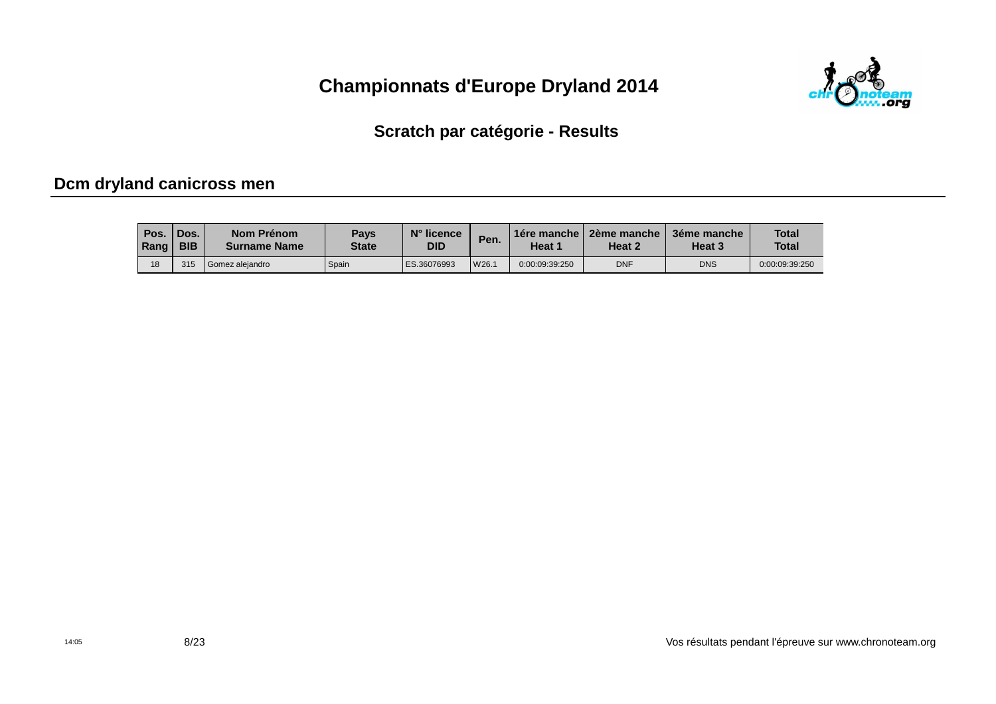

Scratch par catégorie - Results

### Dcm dryland canicross men

| Pos.<br>Rang | 'Dos.<br><b>BIB</b> | Nom Prénom<br><b>Surname Name</b> | <b>Pays</b><br><b>State</b> | N° licence<br><b>DID</b> | Pen.  | $\Box$ 1ére manche<br>Heat 1 | 2ème manche<br>Heat 2 | 3éme manche<br>Heat 3 | <b>Total</b><br><b>Total</b> |
|--------------|---------------------|-----------------------------------|-----------------------------|--------------------------|-------|------------------------------|-----------------------|-----------------------|------------------------------|
| 18           | 315                 | <sup>1</sup> Gomez aleiandro      | Spain                       | ES.36076993              | W26.1 | 0:00:09:39:250               | <b>DNF</b>            | <b>DNS</b>            | 0:00:09:39:250               |

Vos résultats pendant l'épreuve sur www.chronoteam.org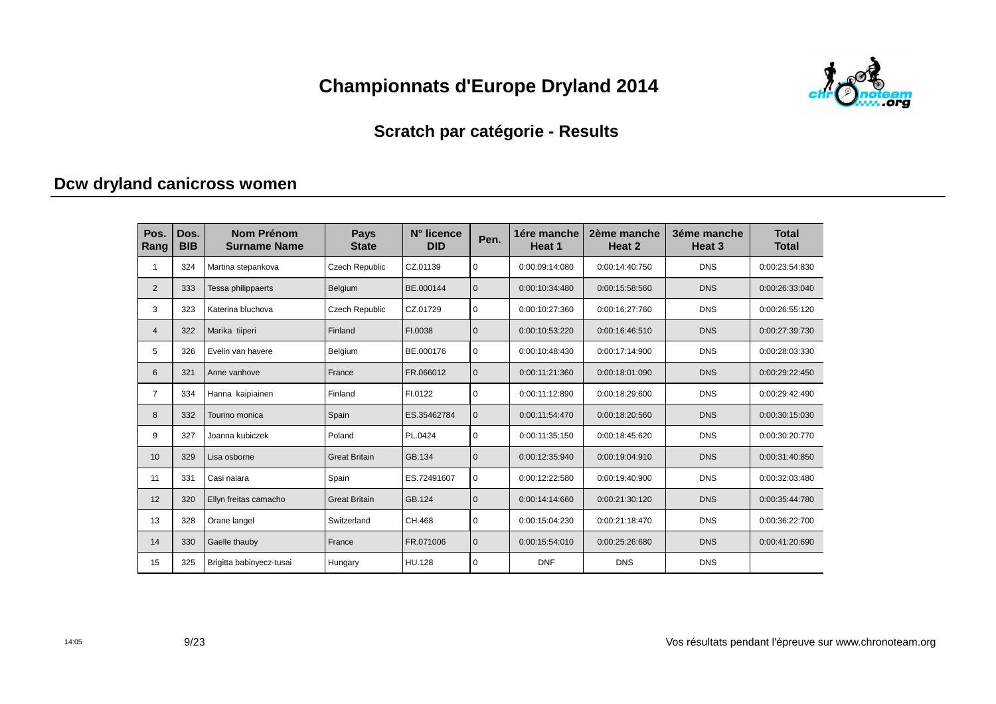

#### **Scratch par catégorie - Results**

### **Dcw dryland canicross women**

| Pos.<br>Rang   | Dos.<br><b>BIB</b> | <b>Nom Prénom</b><br><b>Surname Name</b> | <b>Pays</b><br><b>State</b> | N° licence<br><b>DID</b> | Pen.         | 1ére manche<br>Heat 1 | 2ème manche<br>Heat 2 | 3éme manche<br>Heat <sub>3</sub> | <b>Total</b><br><b>Total</b> |
|----------------|--------------------|------------------------------------------|-----------------------------|--------------------------|--------------|-----------------------|-----------------------|----------------------------------|------------------------------|
|                | 324                | Martina stepankova                       | Czech Republic              | CZ.01139                 | $\mathbf 0$  | 0:00:09:14:080        | 0:00:14:40:750        | <b>DNS</b>                       | 0:00:23:54:830               |
| 2              | 333                | Tessa philippaerts                       | Belgium                     | BE.000144                | $\mathbf{0}$ | 0:00:10:34:480        | 0:00:15:58:560        | <b>DNS</b>                       | 0:00:26:33:040               |
| 3              | 323                | Katerina bluchova                        | Czech Republic              | CZ.01729                 | $\mathbf 0$  | 0:00:10:27:360        | 0:00:16:27:760        | <b>DNS</b>                       | 0:00:26:55:120               |
| 4              | 322                | Marika tiiperi                           | Finland                     | FI.0038                  | $\mathbf{0}$ | 0:00:10:53:220        | 0:00:16:46:510        | <b>DNS</b>                       | 0:00:27:39:730               |
| 5              | 326                | Evelin van havere                        | Belgium                     | BE.000176                | $\mathbf 0$  | 0:00:10:48:430        | 0:00:17:14:900        | <b>DNS</b>                       | 0:00:28:03:330               |
| 6              | 321                | Anne vanhove                             | France                      | FR.066012                | $\Omega$     | 0:00:11:21:360        | 0:00:18:01:090        | <b>DNS</b>                       | 0:00:29:22:450               |
| $\overline{7}$ | 334                | Hanna kaipiainen                         | Finland                     | FI.0122                  | $\mathbf 0$  | 0:00:11:12:890        | 0:00:18:29:600        | <b>DNS</b>                       | 0:00:29:42:490               |
| 8              | 332                | Tourino monica                           | Spain                       | ES.35462784              | $\mathbf{0}$ | 0:00:11:54:470        | 0:00:18:20:560        | <b>DNS</b>                       | 0:00:30:15:030               |
| 9              | 327                | Joanna kubiczek                          | Poland                      | PL.0424                  | $\mathbf 0$  | 0:00:11:35:150        | 0:00:18:45:620        | <b>DNS</b>                       | 0:00:30:20:770               |
| 10             | 329                | Lisa osborne                             | <b>Great Britain</b>        | GB.134                   | $\mathbf{0}$ | 0:00:12:35:940        | 0:00:19:04:910        | <b>DNS</b>                       | 0:00:31:40:850               |
| 11             | 331                | Casi naiara                              | Spain                       | ES.72491607              | $\mathbf 0$  | 0:00:12:22:580        | 0:00:19:40:900        | <b>DNS</b>                       | 0:00:32:03:480               |
| 12             | 320                | Ellyn freitas camacho                    | <b>Great Britain</b>        | GB.124                   | $\mathbf{0}$ | 0:00:14:14:660        | 0:00:21:30:120        | <b>DNS</b>                       | 0:00:35:44:780               |
| 13             | 328                | Orane langel                             | Switzerland                 | CH.468                   | $\mathbf 0$  | 0:00:15:04:230        | 0:00:21:18:470        | <b>DNS</b>                       | 0:00:36:22:700               |
| 14             | 330                | Gaelle thauby                            | France                      | FR.071006                | $\mathbf{0}$ | 0:00:15:54:010        | 0:00:25:26:680        | <b>DNS</b>                       | 0:00:41:20:690               |
| 15             | 325                | Brigitta babinyecz-tusai                 | Hungary                     | HU.128                   | $\mathbf 0$  | <b>DNF</b>            | <b>DNS</b>            | <b>DNS</b>                       |                              |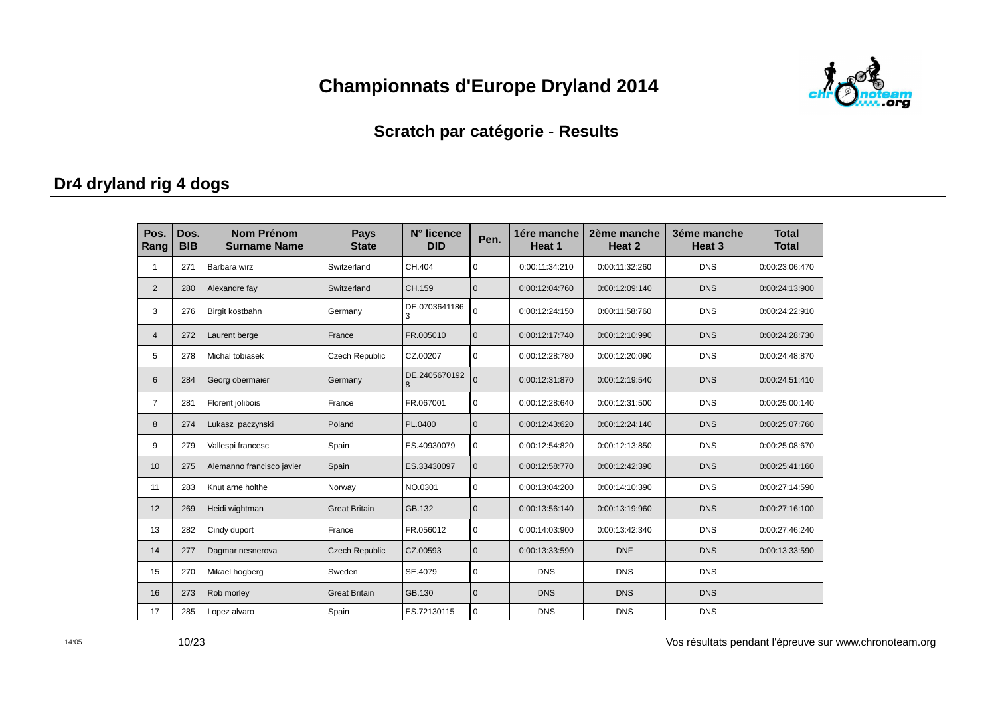

#### **Scratch par catégorie - Results**

### **Dr4 dryland rig 4 dogs**

| Pos.<br>Rang   | Dos.<br><b>BIB</b> | <b>Nom Prénom</b><br><b>Surname Name</b> | <b>Pays</b><br><b>State</b> | N° licence<br><b>DID</b> | Pen.           | 1ére manche<br>Heat 1 | 2ème manche<br>Heat 2 | 3éme manche<br>Heat <sub>3</sub> | <b>Total</b><br><b>Total</b> |
|----------------|--------------------|------------------------------------------|-----------------------------|--------------------------|----------------|-----------------------|-----------------------|----------------------------------|------------------------------|
| 1              | 271                | Barbara wirz                             | Switzerland                 | CH.404                   | $\Omega$       | 0:00:11:34:210        | 0:00:11:32:260        | <b>DNS</b>                       | 0:00:23:06:470               |
| $\overline{2}$ | 280                | Alexandre fay                            | Switzerland                 | CH.159                   | $\mathbf{0}$   | 0:00:12:04:760        | 0:00:12:09:140        | <b>DNS</b>                       | 0:00:24:13:900               |
| 3              | 276                | Birgit kostbahn                          | Germany                     | DE.0703641186<br>3       | $\Omega$       | 0:00:12:24:150        | 0:00:11:58:760        | <b>DNS</b>                       | 0:00:24:22:910               |
| $\overline{4}$ | 272                | Laurent berge                            | France                      | FR.005010                | $\Omega$       | 0:00:12:17:740        | 0:00:12:10:990        | <b>DNS</b>                       | 0:00:24:28:730               |
| 5              | 278                | Michal tobiasek                          | Czech Republic              | CZ.00207                 | $\mathbf 0$    | 0:00:12:28:780        | 0:00:12:20:090        | <b>DNS</b>                       | 0:00:24:48:870               |
| 6              | 284                | Georg obermaier                          | Germany                     | DE.2405670192<br>8       | $\overline{0}$ | 0:00:12:31:870        | 0:00:12:19:540        | <b>DNS</b>                       | 0:00:24:51:410               |
| $\overline{7}$ | 281                | Florent jolibois                         | France                      | FR.067001                | $\mathbf 0$    | 0:00:12:28:640        | 0:00:12:31:500        | <b>DNS</b>                       | 0:00:25:00:140               |
| 8              | 274                | Lukasz paczynski                         | Poland                      | PL.0400                  | $\mathbf{0}$   | 0:00:12:43:620        | 0:00:12:24:140        | <b>DNS</b>                       | 0:00:25:07:760               |
| 9              | 279                | Vallespi francesc                        | Spain                       | ES.40930079              | $\mathbf 0$    | 0:00:12:54:820        | 0:00:12:13:850        | <b>DNS</b>                       | 0:00:25:08:670               |
| 10             | 275                | Alemanno francisco javier                | Spain                       | ES.33430097              | $\mathbf{0}$   | 0:00:12:58:770        | 0:00:12:42:390        | <b>DNS</b>                       | 0:00:25:41:160               |
| 11             | 283                | Knut arne holthe                         | Norway                      | NO.0301                  | $\mathbf 0$    | 0:00:13:04:200        | 0:00:14:10:390        | <b>DNS</b>                       | 0:00:27:14:590               |
| 12             | 269                | Heidi wightman                           | <b>Great Britain</b>        | GB.132                   | $\mathbf 0$    | 0:00:13:56:140        | 0:00:13:19:960        | <b>DNS</b>                       | 0:00:27:16:100               |
| 13             | 282                | Cindy duport                             | France                      | FR.056012                | $\mathbf 0$    | 0:00:14:03:900        | 0:00:13:42:340        | <b>DNS</b>                       | 0:00:27:46:240               |
| 14             | 277                | Dagmar nesnerova                         | <b>Czech Republic</b>       | CZ.00593                 | $\mathbf{0}$   | 0:00:13:33:590        | <b>DNF</b>            | <b>DNS</b>                       | 0:00:13:33:590               |
| 15             | 270                | Mikael hogberg                           | Sweden                      | SE.4079                  | $\mathbf 0$    | <b>DNS</b>            | <b>DNS</b>            | <b>DNS</b>                       |                              |
| 16             | 273                | Rob morley                               | <b>Great Britain</b>        | GB.130                   | $\mathbf{0}$   | <b>DNS</b>            | <b>DNS</b>            | <b>DNS</b>                       |                              |
| 17             | 285                | Lopez alvaro                             | Spain                       | ES.72130115              | $\mathbf 0$    | <b>DNS</b>            | <b>DNS</b>            | <b>DNS</b>                       |                              |

Vos résultats pendant l'épreuve sur www.chronoteam.org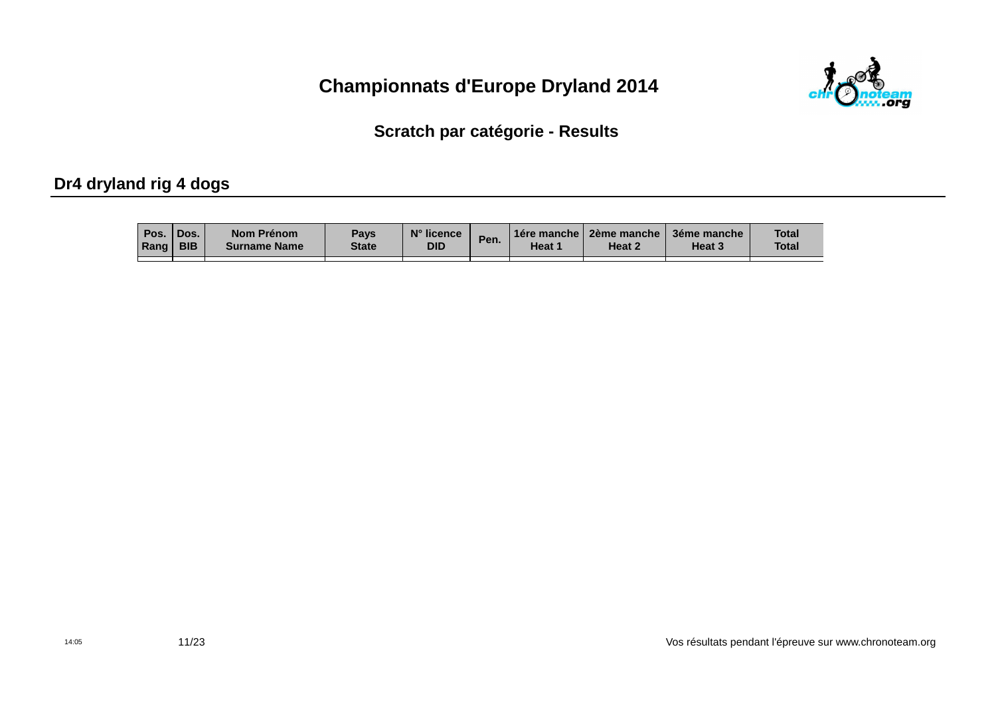

Scratch par catégorie - Results

### Dr4 dryland rig 4 dogs

| Pos.     | 'Dos.      | <b>Nom Prénom</b>   | Pays         | N° licence | Pen. | <b>1ére manche</b> | ∣ 2ème manche ⊺ | 3éme manche | <b>Total</b> |
|----------|------------|---------------------|--------------|------------|------|--------------------|-----------------|-------------|--------------|
| Rang $ $ | <b>BIB</b> | <b>Surname Name</b> | <b>State</b> | <b>DID</b> |      | Heat 1             | Heat 2          | Heat 3      | <b>Total</b> |
|          |            |                     |              |            |      |                    |                 |             |              |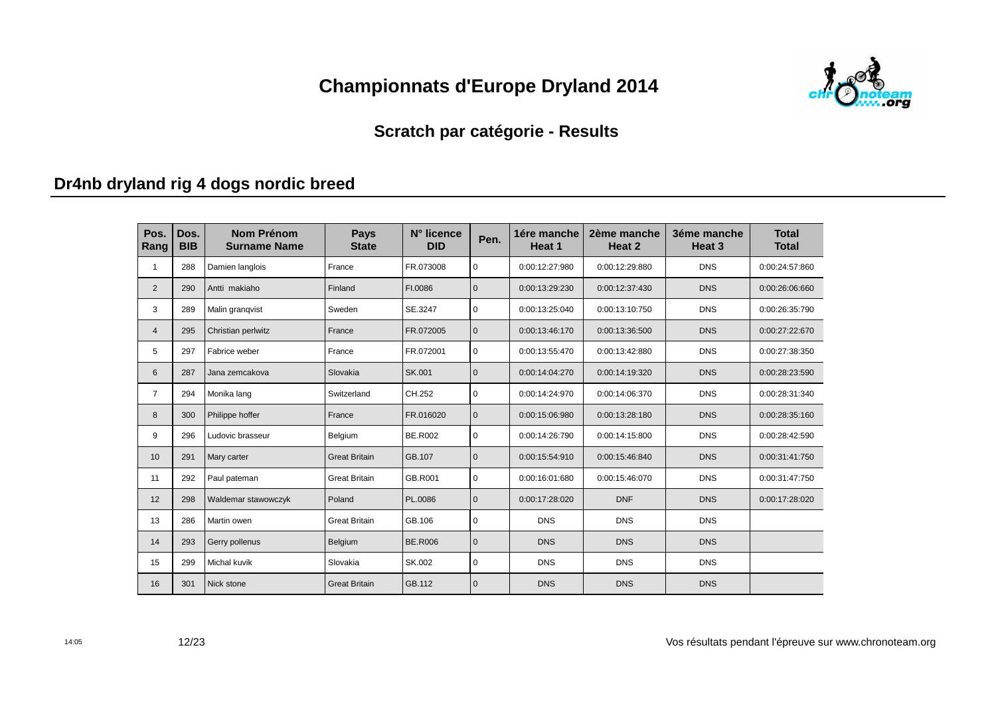

#### **Scratch par catégorie - Results**

# **Dr4nb dryland rig 4 dogs nordic breed**

| Pos.<br>Rang   | Dos.<br><b>BIB</b> | <b>Nom Prénom</b><br><b>Surname Name</b> | <b>Pays</b><br><b>State</b> | N° licence<br><b>DID</b> | Pen.         | 1ére manche<br>Heat 1 | 2ème manche<br>Heat 2 | 3éme manche<br>Heat <sub>3</sub> | <b>Total</b><br><b>Total</b> |
|----------------|--------------------|------------------------------------------|-----------------------------|--------------------------|--------------|-----------------------|-----------------------|----------------------------------|------------------------------|
| 1              | 288                | Damien langlois                          | France                      | FR.073008                | $\mathbf 0$  | 0:00:12:27:980        | 0:00:12:29:880        | <b>DNS</b>                       | 0:00:24:57:860               |
| $\overline{2}$ | 290                | Antti makiaho                            | Finland                     | FI.0086                  | $\mathbf{0}$ | 0:00:13:29:230        | 0:00:12:37:430        | <b>DNS</b>                       | 0:00:26:06:660               |
| 3              | 289                | Malin grangvist                          | Sweden                      | SE.3247                  | $\mathbf 0$  | 0:00:13:25:040        | 0:00:13:10:750        | <b>DNS</b>                       | 0:00:26:35:790               |
| $\overline{4}$ | 295                | Christian perlwitz                       | France                      | FR.072005                | $\mathbf{0}$ | 0:00:13:46:170        | 0:00:13:36:500        | <b>DNS</b>                       | 0:00:27:22:670               |
| 5              | 297                | Fabrice weber                            | France                      | FR.072001                | $\mathbf 0$  | 0:00:13:55:470        | 0:00:13:42:880        | <b>DNS</b>                       | 0:00:27:38:350               |
| 6              | 287                | Jana zemcakova                           | Slovakia                    | SK.001                   | $\mathbf{0}$ | 0:00:14:04:270        | 0:00:14:19:320        | <b>DNS</b>                       | 0:00:28:23:590               |
| $\overline{7}$ | 294                | Monika lang                              | Switzerland                 | CH.252                   | $\mathbf 0$  | 0:00:14:24:970        | 0:00:14:06:370        | <b>DNS</b>                       | 0:00:28:31:340               |
| 8              | 300                | Philippe hoffer                          | France                      | FR.016020                | $\mathbf{0}$ | 0:00:15:06:980        | 0:00:13:28:180        | <b>DNS</b>                       | 0:00:28:35:160               |
| 9              | 296                | Ludovic brasseur                         | Belgium                     | <b>BE.R002</b>           | $\Omega$     | 0:00:14:26:790        | 0:00:14:15:800        | <b>DNS</b>                       | 0:00:28:42:590               |
| 10             | 291                | Mary carter                              | <b>Great Britain</b>        | GB.107                   | $\mathbf{0}$ | 0:00:15:54:910        | 0:00:15:46:840        | <b>DNS</b>                       | 0:00:31:41:750               |
| 11             | 292                | Paul pateman                             | <b>Great Britain</b>        | GB.R001                  | $\pmb{0}$    | 0:00:16:01:680        | 0:00:15:46:070        | <b>DNS</b>                       | 0:00:31:47:750               |
| 12             | 298                | Waldemar stawowczyk                      | Poland                      | PL.0086                  | $\mathbf 0$  | 0:00:17:28:020        | <b>DNF</b>            | <b>DNS</b>                       | 0:00:17:28:020               |
| 13             | 286                | Martin owen                              | <b>Great Britain</b>        | GB.106                   | $\mathbf 0$  | <b>DNS</b>            | <b>DNS</b>            | <b>DNS</b>                       |                              |
| 14             | 293                | Gerry pollenus                           | Belgium                     | <b>BE.R006</b>           | $\mathbf{0}$ | <b>DNS</b>            | <b>DNS</b>            | <b>DNS</b>                       |                              |
| 15             | 299                | Michal kuvik                             | Slovakia                    | SK.002                   | $\mathbf 0$  | <b>DNS</b>            | <b>DNS</b>            | <b>DNS</b>                       |                              |
| 16             | 301                | Nick stone                               | <b>Great Britain</b>        | GB.112                   | $\mathbf{0}$ | <b>DNS</b>            | <b>DNS</b>            | <b>DNS</b>                       |                              |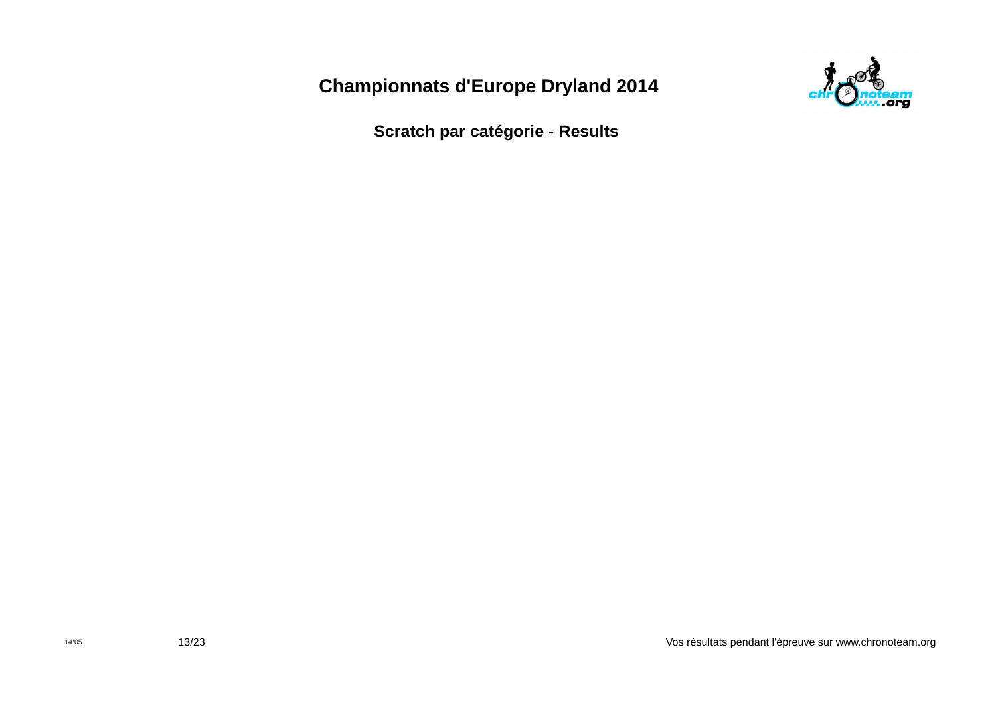

**Scratch par catégorie - Results**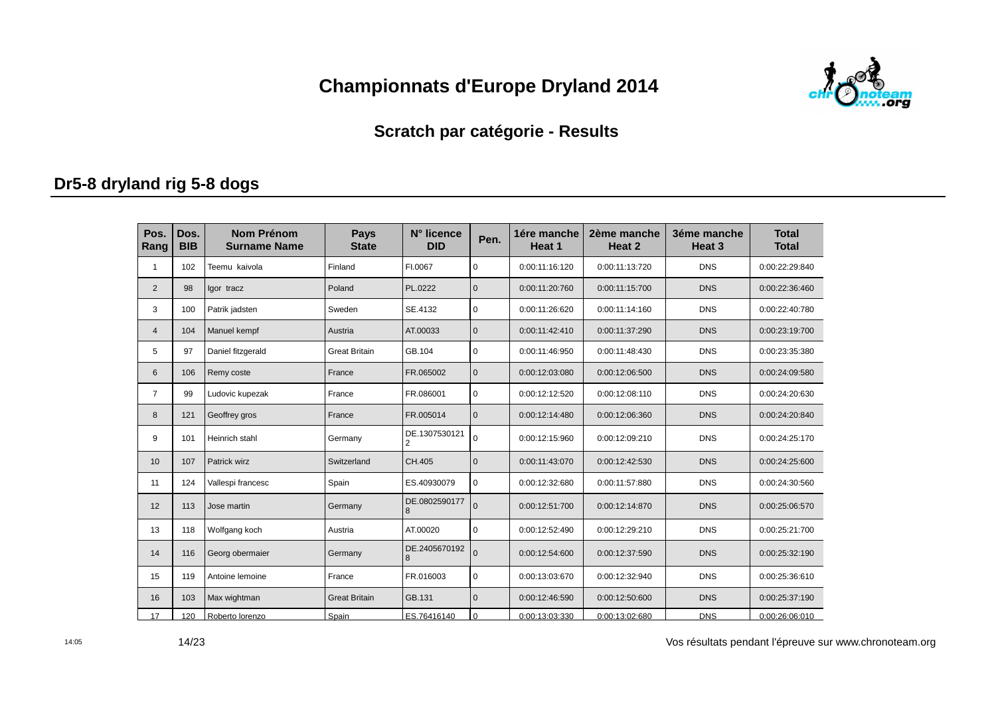

#### **Scratch par catégorie - Results**

### **Dr5-8 dryland rig 5-8 dogs**

| Pos.<br>Rang   | Dos.<br><b>BIB</b> | <b>Nom Prénom</b><br><b>Surname Name</b> | <b>Pays</b><br><b>State</b> | N° licence<br><b>DID</b> | Pen.         | 1ére manche<br>Heat 1 | 2ème manche<br>Heat 2 | 3éme manche<br>Heat <sub>3</sub> | <b>Total</b><br><b>Total</b> |
|----------------|--------------------|------------------------------------------|-----------------------------|--------------------------|--------------|-----------------------|-----------------------|----------------------------------|------------------------------|
| -1             | 102                | Teemu kaivola                            | Finland                     | FI.0067                  | $\mathbf 0$  | 0:00:11:16:120        | 0:00:11:13:720        | <b>DNS</b>                       | 0:00:22:29:840               |
| $\overline{2}$ | 98                 | lgor tracz                               | Poland                      | PL.0222                  | $\mathbf{0}$ | 0:00:11:20:760        | 0:00:11:15:700        | <b>DNS</b>                       | 0:00:22:36:460               |
| 3              | 100                | Patrik jadsten                           | Sweden                      | SE.4132                  | $\mathbf 0$  | 0:00:11:26:620        | 0:00:11:14:160        | <b>DNS</b>                       | 0:00:22:40:780               |
| $\overline{4}$ | 104                | Manuel kempf                             | Austria                     | AT.00033                 | $\mathbf{0}$ | 0:00:11:42:410        | 0:00:11:37:290        | <b>DNS</b>                       | 0:00:23:19:700               |
| 5              | 97                 | Daniel fitzgerald                        | <b>Great Britain</b>        | GB.104                   | $\mathbf 0$  | 0:00:11:46:950        | 0:00:11:48:430        | <b>DNS</b>                       | 0:00:23:35:380               |
| 6              | 106                | Remy coste                               | France                      | FR.065002                | $\mathbf{0}$ | 0:00:12:03:080        | 0:00:12:06:500        | <b>DNS</b>                       | 0:00:24:09:580               |
| $\overline{7}$ | 99                 | Ludovic kupezak                          | France                      | FR.086001                | $\mathbf 0$  | 0:00:12:12:520        | 0:00:12:08:110        | <b>DNS</b>                       | 0:00:24:20:630               |
| 8              | 121                | Geoffrey gros                            | France                      | FR.005014                | $\mathbf{0}$ | 0:00:12:14:480        | 0:00:12:06:360        | <b>DNS</b>                       | 0:00:24:20:840               |
| 9              | 101                | Heinrich stahl                           | Germany                     | DE.1307530121<br>2       | $\mathbf 0$  | 0:00:12:15:960        | 0:00:12:09:210        | <b>DNS</b>                       | 0:00:24:25:170               |
| 10             | 107                | Patrick wirz                             | Switzerland                 | CH.405                   | $\mathbf{0}$ | 0:00:11:43:070        | 0:00:12:42:530        | <b>DNS</b>                       | 0:00:24:25:600               |
| 11             | 124                | Vallespi francesc                        | Spain                       | ES.40930079              | $\mathbf 0$  | 0:00:12:32:680        | 0:00:11:57:880        | <b>DNS</b>                       | 0:00:24:30:560               |
| 12             | 113                | Jose martin                              | Germany                     | DE.0802590177<br>8       | $\Omega$     | 0:00:12:51:700        | 0:00:12:14:870        | <b>DNS</b>                       | 0:00:25:06:570               |
| 13             | 118                | Wolfgang koch                            | Austria                     | AT.00020                 | $\Omega$     | 0:00:12:52:490        | 0:00:12:29:210        | <b>DNS</b>                       | 0:00:25:21:700               |
| 14             | 116                | Georg obermaier                          | Germany                     | DE.2405670192<br>8       | $\Omega$     | 0:00:12:54:600        | 0:00:12:37:590        | <b>DNS</b>                       | 0:00:25:32:190               |
| 15             | 119                | Antoine lemoine                          | France                      | FR.016003                | $\mathbf 0$  | 0:00:13:03:670        | 0:00:12:32:940        | <b>DNS</b>                       | 0:00:25:36:610               |
| 16             | 103                | Max wightman                             | <b>Great Britain</b>        | GB.131                   | $\mathbf{0}$ | 0:00:12:46:590        | 0:00:12:50:600        | <b>DNS</b>                       | 0:00:25:37:190               |
| 17             | 120                | Roberto lorenzo                          | Spain                       | ES.76416140              | $\Omega$     | 0:00:13:03:330        | 0:00:13:02:680        | <b>DNS</b>                       | 0:00:26:06:010               |

Vos résultats pendant l'épreuve sur www.chronoteam.org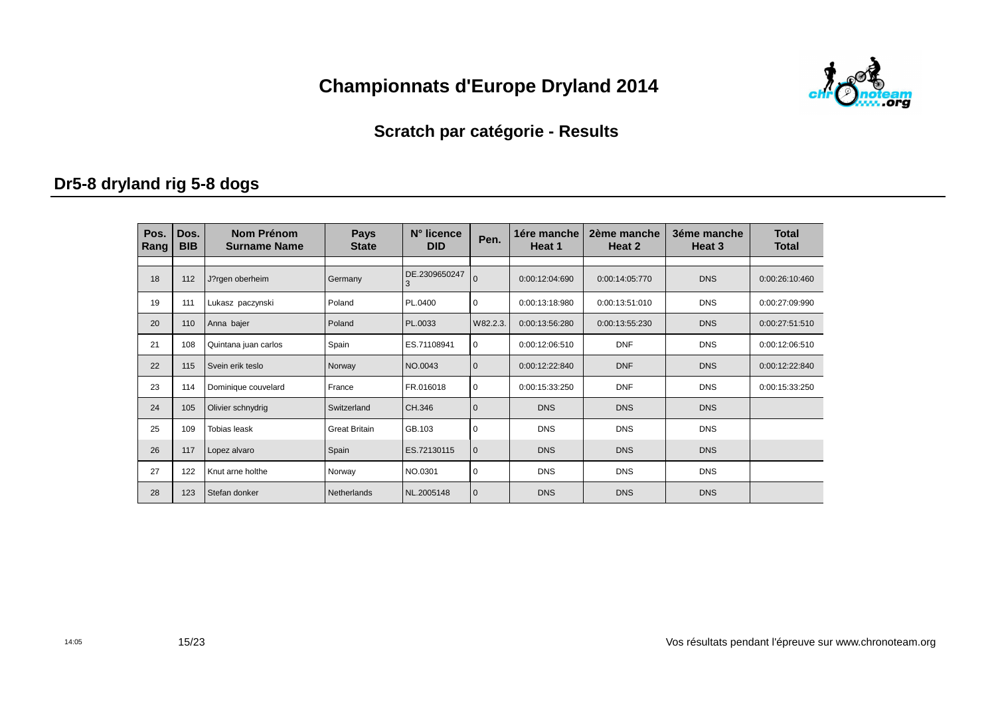

#### **Scratch par catégorie - Results**

### **Dr5-8 dryland rig 5-8 dogs**

| Pos.<br>Rang | Dos.<br><b>BIB</b> | Nom Prénom<br><b>Surname Name</b> | <b>Pays</b><br><b>State</b> | N° licence<br><b>DID</b> | Pen.           | 1ére manche<br>Heat 1 | 2ème manche<br>Heat 2 | 3éme manche<br>Heat 3 | <b>Total</b><br><b>Total</b> |
|--------------|--------------------|-----------------------------------|-----------------------------|--------------------------|----------------|-----------------------|-----------------------|-----------------------|------------------------------|
| 18           | 112                | J?rgen oberheim                   | Germany                     | DE.2309650247<br>3       | $\overline{0}$ | 0:00:12:04:690        | 0:00:14:05:770        | <b>DNS</b>            | 0:00:26:10:460               |
| 19           | 111                | Lukasz paczynski                  | Poland                      | PL.0400                  | 0              | 0:00:13:18:980        | 0:00:13:51:010        | <b>DNS</b>            | 0:00:27:09:990               |
| 20           | 110                | Anna bajer                        | Poland                      | PL.0033                  | W82.2.3.       | 0:00:13:56:280        | 0:00:13:55:230        | <b>DNS</b>            | 0:00:27:51:510               |
| 21           | 108                | Quintana juan carlos              | Spain                       | ES.71108941              | $\mathbf 0$    | 0:00:12:06:510        | <b>DNF</b>            | <b>DNS</b>            | 0:00:12:06:510               |
| 22           | 115                | Svein erik teslo                  | Norway                      | NO.0043                  | $\mathbf 0$    | 0:00:12:22:840        | <b>DNF</b>            | <b>DNS</b>            | 0:00:12:22:840               |
| 23           | 114                | Dominique couvelard               | France                      | FR.016018                | 0              | 0:00:15:33:250        | <b>DNF</b>            | <b>DNS</b>            | 0:00:15:33:250               |
| 24           | 105                | Olivier schnydrig                 | Switzerland                 | CH.346                   | $\mathbf 0$    | <b>DNS</b>            | <b>DNS</b>            | <b>DNS</b>            |                              |
| 25           | 109                | <b>Tobias leask</b>               | <b>Great Britain</b>        | GB.103                   | 0              | <b>DNS</b>            | <b>DNS</b>            | <b>DNS</b>            |                              |
| 26           | 117                | Lopez alvaro                      | Spain                       | ES.72130115              | $\mathbf{0}$   | <b>DNS</b>            | <b>DNS</b>            | <b>DNS</b>            |                              |
| 27           | 122                | Knut arne holthe                  | Norway                      | NO.0301                  | 0              | <b>DNS</b>            | <b>DNS</b>            | <b>DNS</b>            |                              |
| 28           | 123                | Stefan donker                     | Netherlands                 | NL.2005148               | $\mathbf{0}$   | <b>DNS</b>            | <b>DNS</b>            | <b>DNS</b>            |                              |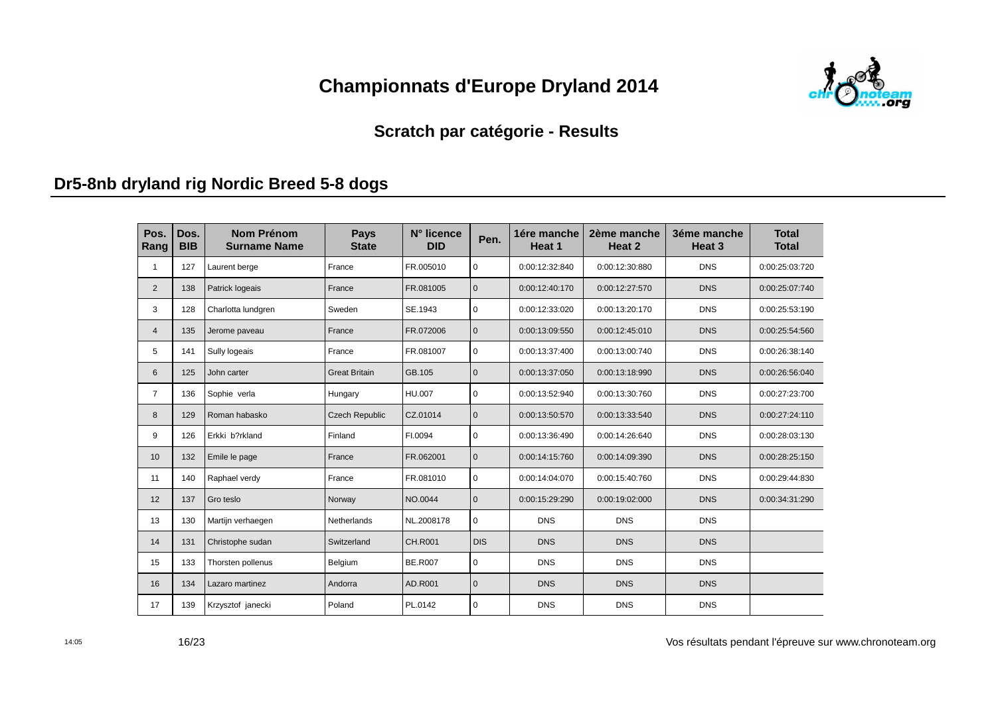

#### **Scratch par catégorie - Results**

#### **Dr5-8nb dryland rig Nordic Breed 5-8 dogs**

| Pos.<br>Rang   | Dos.<br><b>BIB</b> | <b>Nom Prénom</b><br><b>Surname Name</b> | <b>Pays</b><br><b>State</b> | N° licence<br><b>DID</b> | Pen.         | 1ére manche<br>Heat 1 | 2ème manche<br>Heat 2 | 3éme manche<br>Heat <sub>3</sub> | <b>Total</b><br><b>Total</b> |
|----------------|--------------------|------------------------------------------|-----------------------------|--------------------------|--------------|-----------------------|-----------------------|----------------------------------|------------------------------|
| 1              | 127                | Laurent berge                            | France                      | FR.005010                | $\mathbf 0$  | 0:00:12:32:840        | 0:00:12:30:880        | <b>DNS</b>                       | 0:00:25:03:720               |
| $\overline{2}$ | 138                | Patrick logeais                          | France                      | FR.081005                | $\mathbf 0$  | 0:00:12:40:170        | 0:00:12:27:570        | <b>DNS</b>                       | 0:00:25:07:740               |
| 3              | 128                | Charlotta lundgren                       | Sweden                      | SE.1943                  | $\pmb{0}$    | 0:00:12:33:020        | 0:00:13:20:170        | <b>DNS</b>                       | 0:00:25:53:190               |
| $\overline{4}$ | 135                | Jerome paveau                            | France                      | FR.072006                | $\mathbf{0}$ | 0:00:13:09:550        | 0:00:12:45:010        | <b>DNS</b>                       | 0:00:25:54:560               |
| 5              | 141                | Sully logeais                            | France                      | FR.081007                | $\pmb{0}$    | 0:00:13:37:400        | 0:00:13:00:740        | <b>DNS</b>                       | 0:00:26:38:140               |
| 6              | 125                | John carter                              | <b>Great Britain</b>        | GB.105                   | $\mathbf 0$  | 0:00:13:37:050        | 0:00:13:18:990        | <b>DNS</b>                       | 0:00:26:56:040               |
| $\overline{7}$ | 136                | Sophie verla                             | Hungary                     | HU.007                   | $\pmb{0}$    | 0:00:13:52:940        | 0:00:13:30:760        | <b>DNS</b>                       | 0:00:27:23:700               |
| 8              | 129                | Roman habasko                            | <b>Czech Republic</b>       | CZ.01014                 | $\mathbf{0}$ | 0:00:13:50:570        | 0:00:13:33:540        | <b>DNS</b>                       | 0:00:27:24:110               |
| 9              | 126                | Erkki b?rkland                           | Finland                     | FI.0094                  | $\mathbf 0$  | 0:00:13:36:490        | 0:00:14:26:640        | <b>DNS</b>                       | 0:00:28:03:130               |
| 10             | 132                | Emile le page                            | France                      | FR.062001                | $\mathbf{0}$ | 0:00:14:15:760        | 0:00:14:09:390        | <b>DNS</b>                       | 0:00:28:25:150               |
| 11             | 140                | Raphael verdy                            | France                      | FR.081010                | $\mathbf 0$  | 0:00:14:04:070        | 0:00:15:40:760        | <b>DNS</b>                       | 0:00:29:44:830               |
| 12             | 137                | Gro teslo                                | Norway                      | NO.0044                  | $\mathbf{0}$ | 0:00:15:29:290        | 0:00:19:02:000        | <b>DNS</b>                       | 0:00:34:31:290               |
| 13             | 130                | Martijn verhaegen                        | Netherlands                 | NL.2008178               | $\mathbf 0$  | <b>DNS</b>            | <b>DNS</b>            | <b>DNS</b>                       |                              |
| 14             | 131                | Christophe sudan                         | Switzerland                 | <b>CH.R001</b>           | <b>DIS</b>   | <b>DNS</b>            | <b>DNS</b>            | <b>DNS</b>                       |                              |
| 15             | 133                | Thorsten pollenus                        | Belgium                     | <b>BE.R007</b>           | $\mathbf 0$  | <b>DNS</b>            | <b>DNS</b>            | <b>DNS</b>                       |                              |
| 16             | 134                | Lazaro martinez                          | Andorra                     | AD.R001                  | $\mathbf{0}$ | <b>DNS</b>            | <b>DNS</b>            | <b>DNS</b>                       |                              |
| 17             | 139                | Krzysztof janecki                        | Poland                      | PL.0142                  | $\mathbf 0$  | <b>DNS</b>            | <b>DNS</b>            | <b>DNS</b>                       |                              |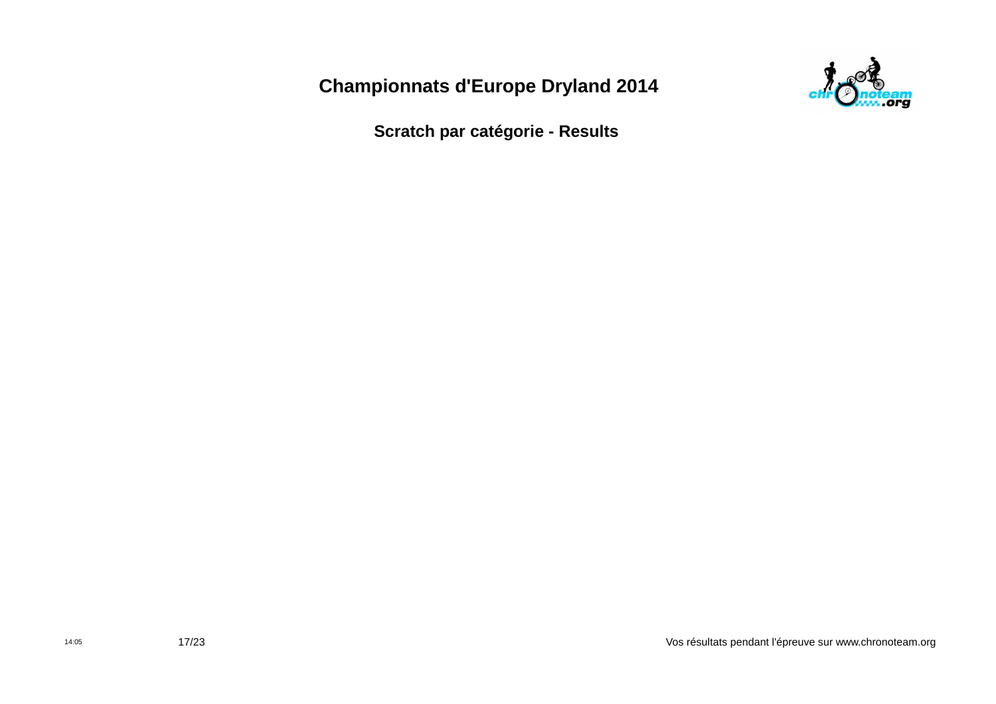

**Scratch par catégorie - Results**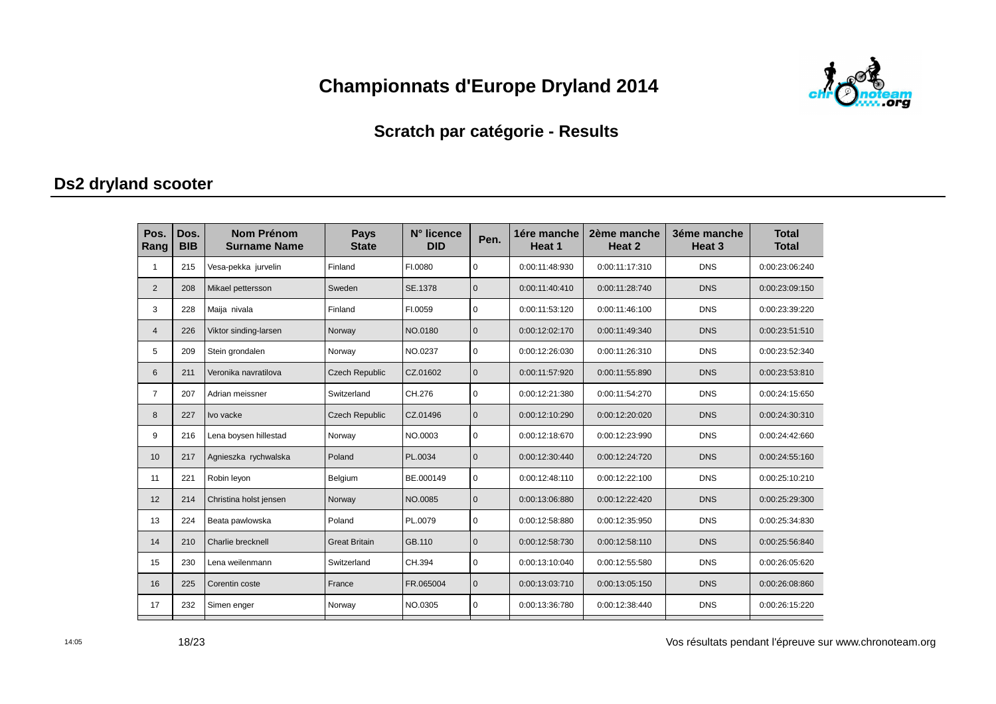

#### **Scratch par catégorie - Results**

#### **Ds2 dryland scooter**

| Pos.<br>Rang   | Dos.<br><b>BIB</b> | <b>Nom Prénom</b><br><b>Surname Name</b> | <b>Pays</b><br><b>State</b> | N° licence<br><b>DID</b> | Pen.         | 1ére manche<br>Heat 1 | 2ème manche<br>Heat 2 | 3éme manche<br>Heat <sub>3</sub> | <b>Total</b><br><b>Total</b> |
|----------------|--------------------|------------------------------------------|-----------------------------|--------------------------|--------------|-----------------------|-----------------------|----------------------------------|------------------------------|
|                | 215                | Vesa-pekka jurvelin                      | Finland                     | FI.0080                  | $\mathbf 0$  | 0:00:11:48:930        | 0:00:11:17:310        | <b>DNS</b>                       | 0:00:23:06:240               |
| $\overline{2}$ | 208                | Mikael pettersson                        | Sweden                      | SE.1378                  | $\mathbf 0$  | 0:00:11:40:410        | 0:00:11:28:740        | <b>DNS</b>                       | 0:00:23:09:150               |
| 3              | 228                | Maija nivala                             | Finland                     | FI.0059                  | $\mathbf 0$  | 0:00:11:53:120        | 0:00:11:46:100        | <b>DNS</b>                       | 0:00:23:39:220               |
| $\overline{4}$ | 226                | Viktor sinding-larsen                    | Norway                      | NO.0180                  | $\mathbf 0$  | 0:00:12:02:170        | 0:00:11:49:340        | <b>DNS</b>                       | 0:00:23:51:510               |
| 5              | 209                | Stein grondalen                          | Norway                      | NO.0237                  | $\pmb{0}$    | 0:00:12:26:030        | 0:00:11:26:310        | <b>DNS</b>                       | 0:00:23:52:340               |
| 6              | 211                | Veronika navratilova                     | <b>Czech Republic</b>       | CZ.01602                 | $\mathbf{0}$ | 0:00:11:57:920        | 0:00:11:55:890        | <b>DNS</b>                       | 0:00:23:53:810               |
| $\overline{7}$ | 207                | Adrian meissner                          | Switzerland                 | CH.276                   | $\mathbf 0$  | 0:00:12:21:380        | 0:00:11:54:270        | <b>DNS</b>                       | 0:00:24:15:650               |
| 8              | 227                | Ivo vacke                                | <b>Czech Republic</b>       | CZ.01496                 | $\mathbf{0}$ | 0:00:12:10:290        | 0:00:12:20:020        | <b>DNS</b>                       | 0:00:24:30:310               |
| 9              | 216                | Lena boysen hillestad                    | Norway                      | NO.0003                  | $\mathbf 0$  | 0:00:12:18:670        | 0:00:12:23:990        | <b>DNS</b>                       | 0:00:24:42:660               |
| 10             | 217                | Agnieszka rychwalska                     | Poland                      | PL.0034                  | $\mathbf{0}$ | 0:00:12:30:440        | 0:00:12:24:720        | <b>DNS</b>                       | 0:00:24:55:160               |
| 11             | 221                | Robin leyon                              | Belgium                     | BE.000149                | $\mathbf 0$  | 0:00:12:48:110        | 0:00:12:22:100        | <b>DNS</b>                       | 0:00:25:10:210               |
| 12             | 214                | Christina holst jensen                   | Norway                      | NO.0085                  | $\mathbf{0}$ | 0:00:13:06:880        | 0:00:12:22:420        | <b>DNS</b>                       | 0:00:25:29:300               |
| 13             | 224                | Beata pawlowska                          | Poland                      | PL.0079                  | $\mathbf 0$  | 0:00:12:58:880        | 0:00:12:35:950        | <b>DNS</b>                       | 0:00:25:34:830               |
| 14             | 210                | Charlie brecknell                        | <b>Great Britain</b>        | GB.110                   | $\mathbf{0}$ | 0:00:12:58:730        | 0:00:12:58:110        | <b>DNS</b>                       | 0:00:25:56:840               |
| 15             | 230                | Lena weilenmann                          | Switzerland                 | CH.394                   | $\mathbf 0$  | 0:00:13:10:040        | 0:00:12:55:580        | <b>DNS</b>                       | 0:00:26:05:620               |
| 16             | 225                | Corentin coste                           | France                      | FR.065004                | $\mathbf{0}$ | 0:00:13:03:710        | 0:00:13:05:150        | <b>DNS</b>                       | 0:00:26:08:860               |
| 17             | 232                | Simen enger                              | Norway                      | NO.0305                  | $\mathbf 0$  | 0:00:13:36:780        | 0:00:12:38:440        | <b>DNS</b>                       | 0:00:26:15:220               |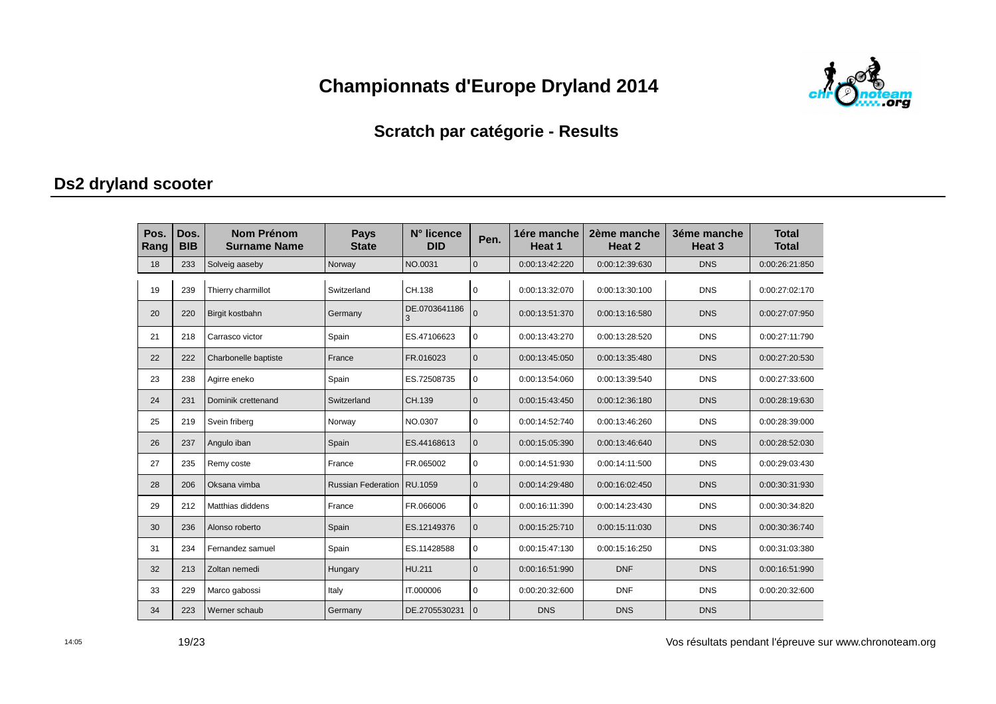

#### Scratch par catégorie - Results

#### Ds2 dryland scooter

| Pos.<br>Rang | Dos.<br><b>BIB</b> | <b>Nom Prénom</b><br><b>Surname Name</b> | <b>Pays</b><br><b>State</b> | N° licence<br><b>DID</b> | Pen.         | 1ére manche<br>Heat 1 | 2ème manche<br>Heat 2 | 3éme manche<br>Heat <sub>3</sub> | <b>Total</b><br><b>Total</b> |
|--------------|--------------------|------------------------------------------|-----------------------------|--------------------------|--------------|-----------------------|-----------------------|----------------------------------|------------------------------|
| 18           | 233                | Solveig aaseby                           | Norway                      | NO.0031                  | $\mathbf{0}$ | 0:00:13:42:220        | 0:00:12:39:630        | <b>DNS</b>                       | 0:00:26:21:850               |
| 19           | 239                | Thierry charmillot                       | Switzerland                 | CH.138                   | $\Omega$     | 0:00:13:32:070        | 0:00:13:30:100        | <b>DNS</b>                       | 0:00:27:02:170               |
| 20           | 220                | Birgit kostbahn                          | Germany                     | DE.0703641186<br>3       | $\Omega$     | 0:00:13:51:370        | 0:00:13:16:580        | <b>DNS</b>                       | 0:00:27:07:950               |
| 21           | 218                | Carrasco victor                          | Spain                       | ES.47106623              | 0            | 0:00:13:43:270        | 0:00:13:28:520        | <b>DNS</b>                       | 0:00:27:11:790               |
| 22           | 222                | Charbonelle baptiste                     | France                      | FR.016023                | $\mathbf{0}$ | 0:00:13:45:050        | 0:00:13:35:480        | <b>DNS</b>                       | 0:00:27:20:530               |
| 23           | 238                | Agirre eneko                             | Spain                       | ES.72508735              | 0            | 0:00:13:54:060        | 0:00:13:39:540        | <b>DNS</b>                       | 0:00:27:33:600               |
| 24           | 231                | Dominik crettenand                       | Switzerland                 | CH.139                   | $\mathbf{0}$ | 0:00:15:43:450        | 0:00:12:36:180        | <b>DNS</b>                       | 0:00:28:19:630               |
| 25           | 219                | Svein friberg                            | Norway                      | NO.0307                  | $\Omega$     | 0:00:14:52:740        | 0:00:13:46:260        | <b>DNS</b>                       | 0:00:28:39:000               |
| 26           | 237                | Angulo iban                              | Spain                       | ES.44168613              | $\mathbf 0$  | 0:00:15:05:390        | 0:00:13:46:640        | <b>DNS</b>                       | 0:00:28:52:030               |
| 27           | 235                | Remy coste                               | France                      | FR.065002                | $\Omega$     | 0:00:14:51:930        | 0:00:14:11:500        | <b>DNS</b>                       | 0:00:29:03:430               |
| 28           | 206                | Oksana vimba                             | <b>Russian Federation</b>   | RU.1059                  | $\Omega$     | 0:00:14:29:480        | 0:00:16:02:450        | <b>DNS</b>                       | 0:00:30:31:930               |
| 29           | 212                | Matthias diddens                         | France                      | FR.066006                | $\mathbf 0$  | 0:00:16:11:390        | 0:00:14:23:430        | <b>DNS</b>                       | 0:00:30:34:820               |
| 30           | 236                | Alonso roberto                           | Spain                       | ES.12149376              | $\mathbf{0}$ | 0:00:15:25:710        | 0:00:15:11:030        | <b>DNS</b>                       | 0:00:30:36:740               |
| 31           | 234                | Fernandez samuel                         | Spain                       | ES.11428588              | $\mathbf 0$  | 0:00:15:47:130        | 0:00:15:16:250        | <b>DNS</b>                       | 0:00:31:03:380               |
| 32           | 213                | Zoltan nemedi                            | Hungary                     | HU.211                   | $\mathbf 0$  | 0:00:16:51:990        | <b>DNF</b>            | <b>DNS</b>                       | 0:00:16:51:990               |
| 33           | 229                | Marco gabossi                            | Italy                       | IT.000006                | $\Omega$     | 0:00:20:32:600        | <b>DNF</b>            | <b>DNS</b>                       | 0:00:20:32:600               |
| 34           | 223                | Werner schaub                            | Germany                     | DE.2705530231            | $\mathbf 0$  | <b>DNS</b>            | <b>DNS</b>            | <b>DNS</b>                       |                              |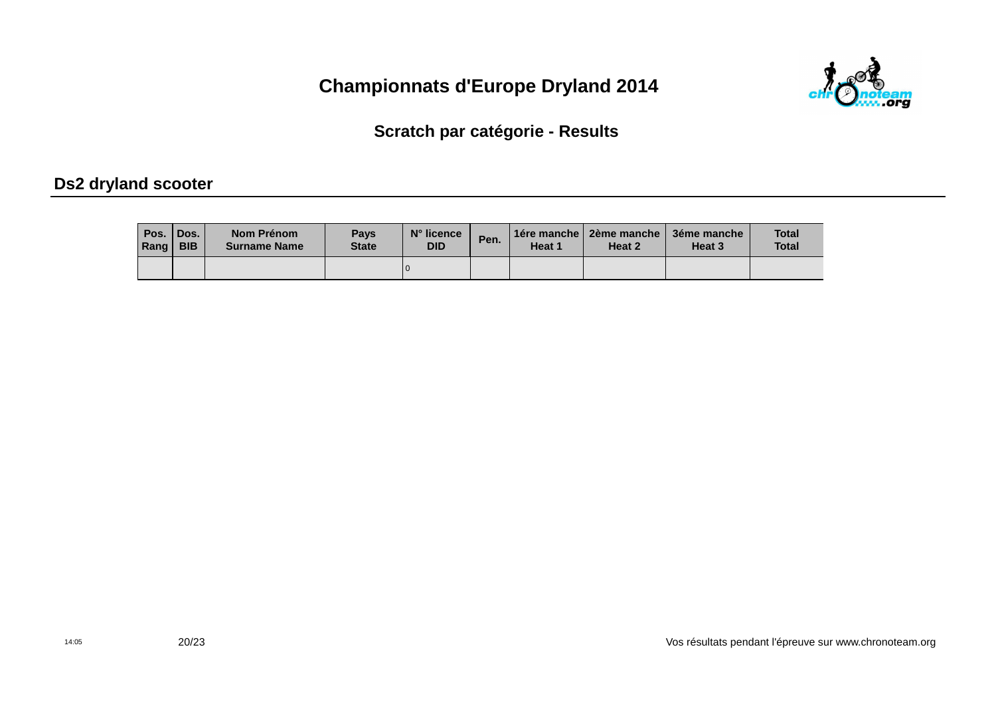

Scratch par catégorie - Results

#### Ds2 dryland scooter

| Pos.<br>Rang | <b>Dos.</b><br><b>BIB</b> | Nom Prénom<br><b>Surname Name</b> | <b>Pays</b><br><b>State</b> | $N^{\circ}$ licence<br><b>DID</b> | Pen. | Heat 1 | 1ére manche   2ème manche  <br>Heat 2 | 3éme manche<br>Heat 3 | <b>Total</b><br><b>Total</b> |
|--------------|---------------------------|-----------------------------------|-----------------------------|-----------------------------------|------|--------|---------------------------------------|-----------------------|------------------------------|
|              |                           |                                   |                             |                                   |      |        |                                       |                       |                              |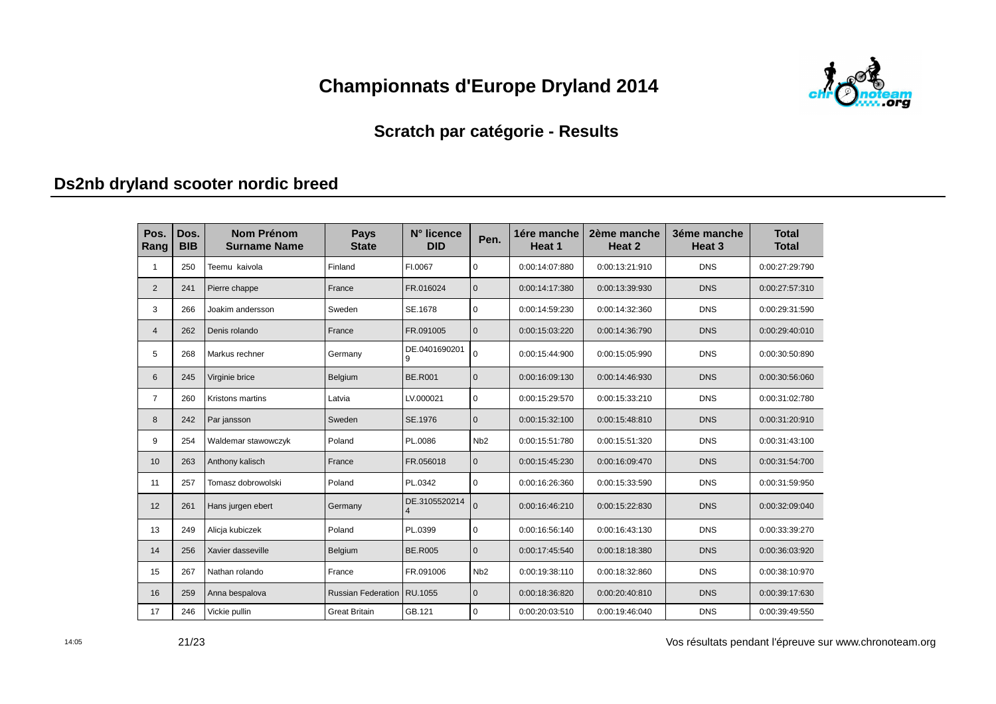

#### **Scratch par catégorie - Results**

### **Ds2nb dryland scooter nordic breed**

| Pos.<br>Rang   | Dos.<br><b>BIB</b> | <b>Nom Prénom</b><br><b>Surname Name</b> | <b>Pays</b><br><b>State</b> | N° licence<br><b>DID</b>        | Pen.             | 1ére manche<br>Heat 1 | 2ème manche<br>Heat 2 | 3éme manche<br>Heat <sub>3</sub> | <b>Total</b><br><b>Total</b> |
|----------------|--------------------|------------------------------------------|-----------------------------|---------------------------------|------------------|-----------------------|-----------------------|----------------------------------|------------------------------|
| 1              | 250                | Teemu kaivola                            | Finland                     | FI.0067                         | $\Omega$         | 0:00:14:07:880        | 0:00:13:21:910        | <b>DNS</b>                       | 0:00:27:29:790               |
| $\overline{2}$ | 241                | Pierre chappe                            | France                      | FR.016024                       | $\mathbf{0}$     | 0:00:14:17:380        | 0:00:13:39:930        | <b>DNS</b>                       | 0:00:27:57:310               |
| 3              | 266                | Joakim andersson                         | Sweden                      | SE.1678                         | $\mathbf 0$      | 0:00:14:59:230        | 0:00:14:32:360        | <b>DNS</b>                       | 0:00:29:31:590               |
| $\overline{4}$ | 262                | Denis rolando                            | France                      | FR.091005                       | $\Omega$         | 0:00:15:03:220        | 0:00:14:36:790        | <b>DNS</b>                       | 0:00:29:40:010               |
| 5              | 268                | Markus rechner                           | Germany                     | DE.0401690201<br>9              | $\mathbf 0$      | 0:00:15:44:900        | 0:00:15:05:990        | <b>DNS</b>                       | 0:00:30:50:890               |
| 6              | 245                | Virginie brice                           | Belgium                     | <b>BE.R001</b>                  | $\mathbf{0}$     | 0:00:16:09:130        | 0:00:14:46:930        | <b>DNS</b>                       | 0:00:30:56:060               |
| $\overline{7}$ | 260                | Kristons martins                         | Latvia                      | LV.000021                       | $\mathbf 0$      | 0:00:15:29:570        | 0:00:15:33:210        | <b>DNS</b>                       | 0:00:31:02:780               |
| 8              | 242                | Par jansson                              | Sweden                      | SE.1976                         | $\mathbf{0}$     | 0:00:15:32:100        | 0:00:15:48:810        | <b>DNS</b>                       | 0:00:31:20:910               |
| 9              | 254                | Waldemar stawowczyk                      | Poland                      | PL.0086                         | N <sub>b</sub> 2 | 0:00:15:51:780        | 0:00:15:51:320        | <b>DNS</b>                       | 0:00:31:43:100               |
| 10             | 263                | Anthony kalisch                          | France                      | FR.056018                       | $\mathbf{0}$     | 0:00:15:45:230        | 0:00:16:09:470        | <b>DNS</b>                       | 0:00:31:54:700               |
| 11             | 257                | Tomasz dobrowolski                       | Poland                      | PL.0342                         | $\Omega$         | 0:00:16:26:360        | 0:00:15:33:590        | <b>DNS</b>                       | 0:00:31:59:950               |
| 12             | 261                | Hans jurgen ebert                        | Germany                     | DE.3105520214<br>$\overline{4}$ | $\Omega$         | 0:00:16:46:210        | 0:00:15:22:830        | <b>DNS</b>                       | 0:00:32:09:040               |
| 13             | 249                | Alicja kubiczek                          | Poland                      | PL.0399                         | $\Omega$         | 0:00:16:56:140        | 0:00:16:43:130        | <b>DNS</b>                       | 0:00:33:39:270               |
| 14             | 256                | Xavier dasseville                        | Belgium                     | <b>BE.R005</b>                  | $\mathbf{0}$     | 0:00:17:45:540        | 0:00:18:18:380        | <b>DNS</b>                       | 0:00:36:03:920               |
| 15             | 267                | Nathan rolando                           | France                      | FR.091006                       | N <sub>b</sub> 2 | 0:00:19:38:110        | 0:00:18:32:860        | <b>DNS</b>                       | 0:00:38:10:970               |
| 16             | 259                | Anna bespalova                           | <b>Russian Federation</b>   | RU.1055                         | $\Omega$         | 0:00:18:36:820        | 0:00:20:40:810        | <b>DNS</b>                       | 0:00:39:17:630               |
| 17             | 246                | Vickie pullin                            | <b>Great Britain</b>        | GB.121                          | 0                | 0:00:20:03:510        | 0:00:19:46:040        | <b>DNS</b>                       | 0:00:39:49:550               |

21/23

14:05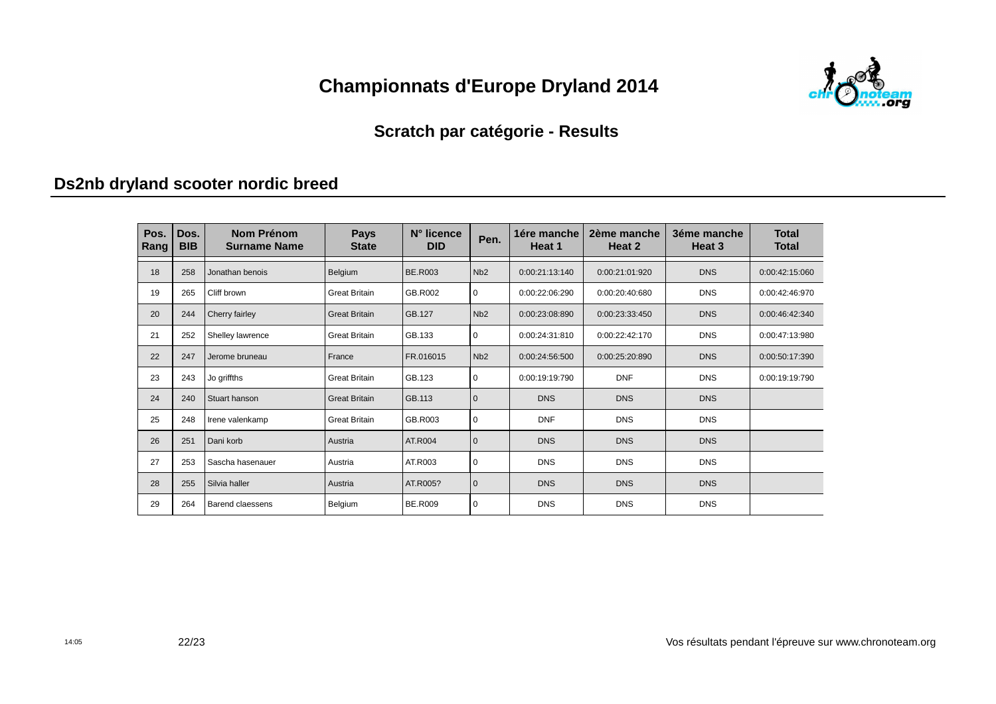

#### **Scratch par catégorie - Results**

### **Ds2nb dryland scooter nordic breed**

| Pos.<br>Rang | Dos.<br><b>BIB</b> | Nom Prénom<br><b>Surname Name</b> | <b>Pays</b><br><b>State</b> | N° licence<br><b>DID</b> | Pen.         | 1ére manche<br>Heat 1 | 2ème manche<br>Heat 2 | 3éme manche<br>Heat 3 | <b>Total</b><br><b>Total</b> |
|--------------|--------------------|-----------------------------------|-----------------------------|--------------------------|--------------|-----------------------|-----------------------|-----------------------|------------------------------|
| 18           | 258                | Jonathan benois                   | Belgium                     | <b>BE.R003</b>           | Nb2          | 0:00:21:13:140        | 0:00:21:01:920        | <b>DNS</b>            | 0:00:42:15:060               |
| 19           | 265                | Cliff brown                       | <b>Great Britain</b>        | GB.R002                  | $\mathbf 0$  | 0:00:22:06:290        | 0:00:20:40:680        | <b>DNS</b>            | 0:00:42:46:970               |
| 20           | 244                | Cherry fairley                    | <b>Great Britain</b>        | GB.127                   | Nb2          | 0:00:23:08:890        | 0:00:23:33:450        | <b>DNS</b>            | 0:00:46:42:340               |
| 21           | 252                | Shelley lawrence                  | <b>Great Britain</b>        | GB.133                   | $\mathbf 0$  | 0:00:24:31:810        | 0:00:22:42:170        | <b>DNS</b>            | 0:00:47:13:980               |
| 22           | 247                | Jerome bruneau                    | France                      | FR.016015                | Nb2          | 0:00:24:56:500        | 0:00:25:20:890        | <b>DNS</b>            | 0:00:50:17:390               |
| 23           | 243                | Jo griffths                       | <b>Great Britain</b>        | GB.123                   | $\mathbf 0$  | 0:00:19:19:790        | <b>DNF</b>            | <b>DNS</b>            | 0:00:19:19:790               |
| 24           | 240                | Stuart hanson                     | <b>Great Britain</b>        | GB.113                   | $\mathbf{0}$ | <b>DNS</b>            | <b>DNS</b>            | <b>DNS</b>            |                              |
| 25           | 248                | Irene valenkamp                   | <b>Great Britain</b>        | GB.R003                  | $\mathbf 0$  | <b>DNF</b>            | <b>DNS</b>            | <b>DNS</b>            |                              |
| 26           | 251                | Dani korb                         | Austria                     | AT.R004                  | $\mathbf{0}$ | <b>DNS</b>            | <b>DNS</b>            | <b>DNS</b>            |                              |
| 27           | 253                | Sascha hasenauer                  | Austria                     | AT.R003                  | $\mathbf 0$  | <b>DNS</b>            | <b>DNS</b>            | <b>DNS</b>            |                              |
| 28           | 255                | Silvia haller                     | Austria                     | AT.R005?                 | $\mathbf 0$  | <b>DNS</b>            | <b>DNS</b>            | <b>DNS</b>            |                              |
| 29           | 264                | Barend claessens                  | Belgium                     | <b>BE.R009</b>           | $\mathbf 0$  | <b>DNS</b>            | <b>DNS</b>            | <b>DNS</b>            |                              |